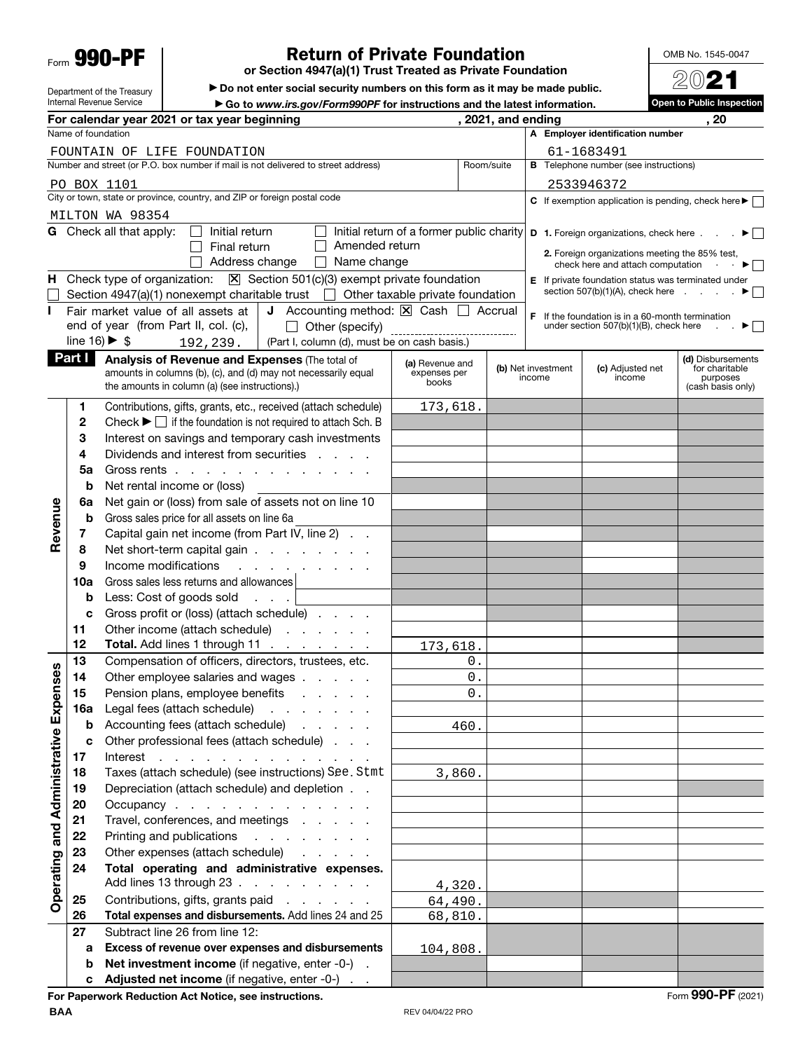Form **990-PF**

Department of the Treasury Internal Revenue Service

## **Return of Private Foundation**

**or Section 4947(a)(1) Trust Treated as Private Foundation**

 $\blacktriangleright$  Do not enter social security numbers on this form as it may be made public.

▶ Go to *www.irs.gov/Form990PF* for instructions and the latest information.<br>year beginning **a** *s s s s s s s s s s s s s s s s s s s s s* **For calendar year 2021 or tax year beginning , 2021, and ending , 20** Name of foundation **A Employer identification number** FOUNTAIN OF LIFE FOUNDATION 61-1683491 Number and street (or P.O. box number if mail is not delivered to street address) Room/suite **B** Telephone number (see instructions) PO BOX 1101 2533946372 City or town, state or province, country, and ZIP or foreign postal code **C** If exemption application is pending, check here  $\blacktriangleright$ MILTON WA 98354 **G** Check all that apply:  $\Box$  Initial return Initial return of a former public charity **D 1.** Foreign organizations, check here  $\ldots$   $\blacktriangleright$  $\Box$  Final return  $\Box$  Amended return **2.** Foreign organizations meeting the 85% test,<br>check here and attach computation  $\cdot \cdot$  $\Box$  Address change  $\Box$  Name change check here and attach computation . **H** Check type of organization:  $\boxed{X}$  Section 501(c)(3) exempt private foundation **E** If private foundation status was terminated under section 507(b)(1)(A), check here  $\qquad \qquad \bullet$ Section 4947(a)(1) nonexempt charitable trust  $\Box$  Other taxable private foundation **I** Fair market value of all assets at **J** Accounting method:  $\boxed{\times}$  Cash  $\boxed{\phantom{1}}$  Accrual **F** If the foundation is in a 60-month termination Other (specify) end of year (from Part II, col. (c), under section 507(b)(1)(B), check here  $\Box$ line  $16$   $\triangleright$  \$ (Part I, column (d), must be on cash basis.) 192,239. **Part I** Analysis of Revenue and Expenses (The total of **(d)** Disbursements **(a)** Revenue and **(b)** Net investment **(c)** Adjusted net for charitable<br>purposes amounts in columns (b), (c), and (d) may not necessarily equal expenses perbooks income income the amounts in column (a) (see instructions).) purposes(cash basis only) **1** Contributions, gifts, grants, etc., received (attach schedule) 173,618. **2** Check  $\blacktriangleright \Box$  if the foundation is not required to attach Sch. B **3** Interest on savings and temporary cash investments **4** Dividends and interest from securities . . . . **5a** Gross rents . . . . . . . . . . . . . **b** Net rental income or (loss) **6a** Net gain or (loss) from sale of assets not on line 10 **Revenue** Revenue **b** Gross sales price for all assets on line 6a **7** Capital gain net income (from Part IV, line 2) . . **8** Net short-term capital gain . . . . . . . . **9** Income modifications . . . . **10a** Gross sales less returns and allowances **b** Less: Cost of goods sold . . . **c** Gross profit or (loss) (attach schedule) . . . . **11** Other income (attach schedule) . . . . . . **12 Total.** Add lines 1 through 11 . . 173,618. **13** Compensation of officers, directors, trustees, etc.  $0$ . Operating and Administrative Expenses **Operating and Administrative Expenses 14** Other employee salaries and wages . . . . .  $\Omega$ . 15 Pension plans, employee benefits . . . . . 0. **16a** Legal fees (attach schedule) . . . . . . . **b** Accounting fees (attach schedule) . . . . . 460. **c** Other professional fees (attach schedule) . . . **17** Interest . . . . . . . . . . . . . 18 Taxes (attach schedule) (see instructions) See. Stmt 3,860. **19** Depreciation (attach schedule) and depletion . . **20** Occupancy . . . . . . . . . . . . . 21 Travel, conferences, and meetings . . . . . **22** Printing and publications . . . . . . . . **23** Other expenses (attach schedule) **24 Total operating and administrative expenses.**  Add lines 13 through 23 . . . . . . . . . 4,320. **25** Contributions, gifts, grants paid ...... 64,490. **26 Total expenses and disbursements.** Add lines 24 and 25 68,810. **27** Subtract line 26 from line 12: **a Excess of revenue over expenses and disbursements** 104,808. **b** Net investment income (if negative, enter -0-). **c** Adjusted net income (if negative, enter -0-)

**For Paperwork Reduction Act Notice, see instructions.** The set of the set of the set of the set of the set of the set of the set of the set of the set of the set of the set of the set of the set of the set of the set of t

OMB No. 1545-0047

20**21 Open to Public Inspection**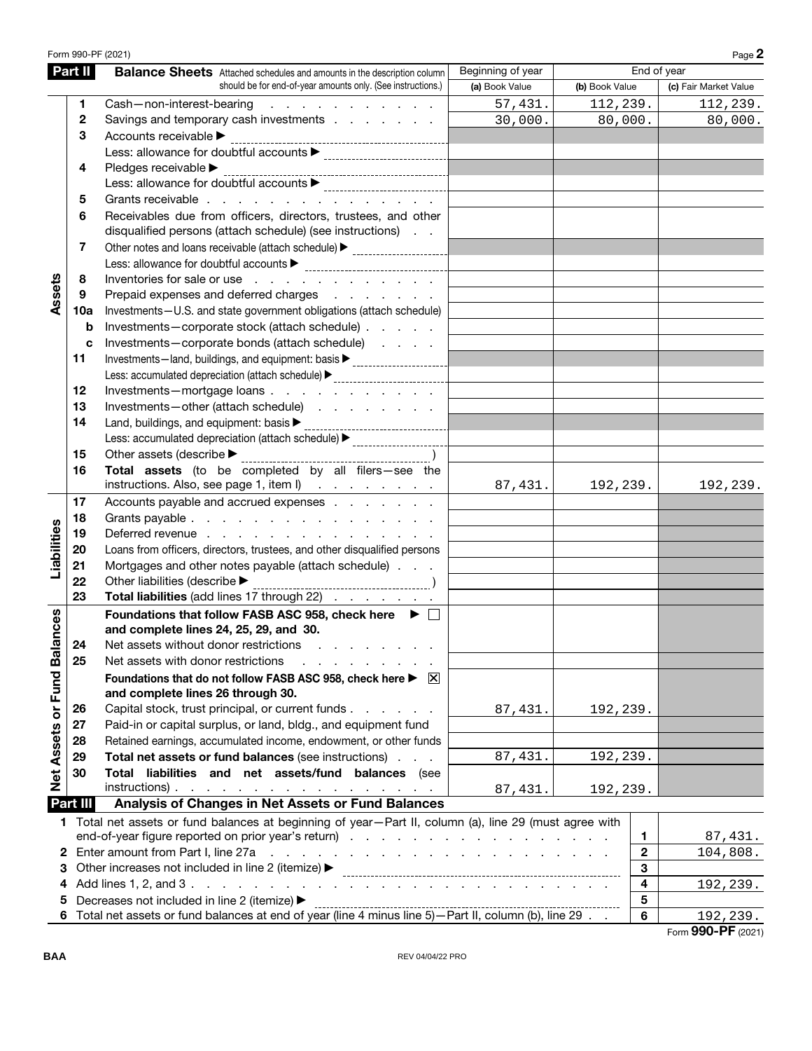| Part II<br>End of year<br>Beginning of year<br><b>Balance Sheets</b> Attached schedules and amounts in the description column<br>should be for end-of-year amounts only. (See instructions.)<br>(b) Book Value<br>(a) Book Value<br>(c) Fair Market Value<br>57,431.<br>112,239.<br>Cash-non-interest-bearing<br>and the contract of the contract of<br>112,239.<br>1<br>30,000.<br>80,000.<br>80,000.<br>$\mathbf{2}$<br>Savings and temporary cash investments<br>Accounts receivable ><br>3<br>Pledges receivable<br>4<br>Grants receivable<br>5<br>Receivables due from officers, directors, trustees, and other<br>6<br>disqualified persons (attach schedule) (see instructions)<br>7<br>Other notes and loans receivable (attach schedule) > ___________________________<br>Assets<br>Inventories for sale or use<br>8<br>Prepaid expenses and deferred charges<br>9<br>Investments-U.S. and state government obligations (attach schedule)<br>10a<br>Investments-corporate stock (attach schedule)<br>b<br>Investments-corporate bonds (attach schedule)<br>c<br>Investments-land, buildings, and equipment: basis > _____________________________<br>11<br>Less: accumulated depreciation (attach schedule) > _____________________________<br>Investments-mortgage loans<br>12<br>13<br>Investments-other (attach schedule)<br>Land, buildings, and equipment: basis $\blacktriangleright$<br>14<br>----------------------------<br>Less: accumulated depreciation (attach schedule) > _____________________________<br>Other assets (describe $\blacktriangleright$ ____<br>15<br>Total assets (to be completed by all filers-see the<br>16<br>instructions. Also, see page 1, item I)<br>87,431.<br>192,239.<br>192,239.<br>Accounts payable and accrued expenses<br>17<br>18<br>Grants payable<br>Liabilities<br>Deferred revenue<br>19<br>Loans from officers, directors, trustees, and other disqualified persons<br>20<br>Mortgages and other notes payable (attach schedule)<br>21<br>Other liabilities (describe ><br>22<br>Total liabilities (add lines 17 through 22)<br>23<br>Net Assets or Fund Balances<br>Foundations that follow FASB ASC 958, check here ▶ □<br>and complete lines 24, 25, 29, and 30.<br>24<br>Net assets without donor restrictions<br>25<br>Net assets with donor restrictions<br>Foundations that do not follow FASB ASC 958, check here ▶ ⊠<br>and complete lines 26 through 30.<br>Capital stock, trust principal, or current funds<br>87, 431.<br>192,239.<br>26<br>Paid-in or capital surplus, or land, bldg., and equipment fund<br>27<br>Retained earnings, accumulated income, endowment, or other funds<br>28<br>Total net assets or fund balances (see instructions)<br>29<br>87,431.<br>192,239.<br>Total liabilities and net assets/fund balances (see<br>30<br>$instructions)$ .<br>87,431.<br>192,239.<br>Part III<br>Analysis of Changes in Net Assets or Fund Balances<br>1 Total net assets or fund balances at beginning of year-Part II, column (a), line 29 (must agree with<br>1<br>87,431.<br>Enter amount from Part I, line 27a<br>$\mathbf{2}$<br>104,808.<br>and the contract of the contract of the contract of the contract of the contract of<br>2<br>Other increases not included in line 2 (itemize) ▶<br>3<br>З<br>4<br>192,239.<br>4<br>Decreases not included in line 2 (itemize) ▶<br>$\overline{\mathbf{5}}$<br>5<br>Decreases not included in line z (itemize) F<br>Total net assets or fund balances at end of year (line 4 minus line 5)—Part II, column (b), line 29<br>6<br>192,239. |  | Form 990-PF (2021) |  |  |  | Page 2 |
|---------------------------------------------------------------------------------------------------------------------------------------------------------------------------------------------------------------------------------------------------------------------------------------------------------------------------------------------------------------------------------------------------------------------------------------------------------------------------------------------------------------------------------------------------------------------------------------------------------------------------------------------------------------------------------------------------------------------------------------------------------------------------------------------------------------------------------------------------------------------------------------------------------------------------------------------------------------------------------------------------------------------------------------------------------------------------------------------------------------------------------------------------------------------------------------------------------------------------------------------------------------------------------------------------------------------------------------------------------------------------------------------------------------------------------------------------------------------------------------------------------------------------------------------------------------------------------------------------------------------------------------------------------------------------------------------------------------------------------------------------------------------------------------------------------------------------------------------------------------------------------------------------------------------------------------------------------------------------------------------------------------------------------------------------------------------------------------------------------------------------------------------------------------------------------------------------------------------------------------------------------------------------------------------------------------------------------------------------------------------------------------------------------------------------------------------------------------------------------------------------------------------------------------------------------------------------------------------------------------------------------------------------------------------------------------------------------------------------------------------------------------------------------------------------------------------------------------------------------------------------------------------------------------------------------------------------------------------------------------------------------------------------------------------------------------------------------------------------------------------------------------------------------------------------------------------------------------------------------------------------------------------------------------------------------------------------------------------------------------------------------------------------------------------------------------------------------------------------------------------------------------------------------------------------------------------------|--|--------------------|--|--|--|--------|
|                                                                                                                                                                                                                                                                                                                                                                                                                                                                                                                                                                                                                                                                                                                                                                                                                                                                                                                                                                                                                                                                                                                                                                                                                                                                                                                                                                                                                                                                                                                                                                                                                                                                                                                                                                                                                                                                                                                                                                                                                                                                                                                                                                                                                                                                                                                                                                                                                                                                                                                                                                                                                                                                                                                                                                                                                                                                                                                                                                                                                                                                                                                                                                                                                                                                                                                                                                                                                                                                                                                                                                           |  |                    |  |  |  |        |
|                                                                                                                                                                                                                                                                                                                                                                                                                                                                                                                                                                                                                                                                                                                                                                                                                                                                                                                                                                                                                                                                                                                                                                                                                                                                                                                                                                                                                                                                                                                                                                                                                                                                                                                                                                                                                                                                                                                                                                                                                                                                                                                                                                                                                                                                                                                                                                                                                                                                                                                                                                                                                                                                                                                                                                                                                                                                                                                                                                                                                                                                                                                                                                                                                                                                                                                                                                                                                                                                                                                                                                           |  |                    |  |  |  |        |
|                                                                                                                                                                                                                                                                                                                                                                                                                                                                                                                                                                                                                                                                                                                                                                                                                                                                                                                                                                                                                                                                                                                                                                                                                                                                                                                                                                                                                                                                                                                                                                                                                                                                                                                                                                                                                                                                                                                                                                                                                                                                                                                                                                                                                                                                                                                                                                                                                                                                                                                                                                                                                                                                                                                                                                                                                                                                                                                                                                                                                                                                                                                                                                                                                                                                                                                                                                                                                                                                                                                                                                           |  |                    |  |  |  |        |
|                                                                                                                                                                                                                                                                                                                                                                                                                                                                                                                                                                                                                                                                                                                                                                                                                                                                                                                                                                                                                                                                                                                                                                                                                                                                                                                                                                                                                                                                                                                                                                                                                                                                                                                                                                                                                                                                                                                                                                                                                                                                                                                                                                                                                                                                                                                                                                                                                                                                                                                                                                                                                                                                                                                                                                                                                                                                                                                                                                                                                                                                                                                                                                                                                                                                                                                                                                                                                                                                                                                                                                           |  |                    |  |  |  |        |
|                                                                                                                                                                                                                                                                                                                                                                                                                                                                                                                                                                                                                                                                                                                                                                                                                                                                                                                                                                                                                                                                                                                                                                                                                                                                                                                                                                                                                                                                                                                                                                                                                                                                                                                                                                                                                                                                                                                                                                                                                                                                                                                                                                                                                                                                                                                                                                                                                                                                                                                                                                                                                                                                                                                                                                                                                                                                                                                                                                                                                                                                                                                                                                                                                                                                                                                                                                                                                                                                                                                                                                           |  |                    |  |  |  |        |
|                                                                                                                                                                                                                                                                                                                                                                                                                                                                                                                                                                                                                                                                                                                                                                                                                                                                                                                                                                                                                                                                                                                                                                                                                                                                                                                                                                                                                                                                                                                                                                                                                                                                                                                                                                                                                                                                                                                                                                                                                                                                                                                                                                                                                                                                                                                                                                                                                                                                                                                                                                                                                                                                                                                                                                                                                                                                                                                                                                                                                                                                                                                                                                                                                                                                                                                                                                                                                                                                                                                                                                           |  |                    |  |  |  |        |
|                                                                                                                                                                                                                                                                                                                                                                                                                                                                                                                                                                                                                                                                                                                                                                                                                                                                                                                                                                                                                                                                                                                                                                                                                                                                                                                                                                                                                                                                                                                                                                                                                                                                                                                                                                                                                                                                                                                                                                                                                                                                                                                                                                                                                                                                                                                                                                                                                                                                                                                                                                                                                                                                                                                                                                                                                                                                                                                                                                                                                                                                                                                                                                                                                                                                                                                                                                                                                                                                                                                                                                           |  |                    |  |  |  |        |
|                                                                                                                                                                                                                                                                                                                                                                                                                                                                                                                                                                                                                                                                                                                                                                                                                                                                                                                                                                                                                                                                                                                                                                                                                                                                                                                                                                                                                                                                                                                                                                                                                                                                                                                                                                                                                                                                                                                                                                                                                                                                                                                                                                                                                                                                                                                                                                                                                                                                                                                                                                                                                                                                                                                                                                                                                                                                                                                                                                                                                                                                                                                                                                                                                                                                                                                                                                                                                                                                                                                                                                           |  |                    |  |  |  |        |
|                                                                                                                                                                                                                                                                                                                                                                                                                                                                                                                                                                                                                                                                                                                                                                                                                                                                                                                                                                                                                                                                                                                                                                                                                                                                                                                                                                                                                                                                                                                                                                                                                                                                                                                                                                                                                                                                                                                                                                                                                                                                                                                                                                                                                                                                                                                                                                                                                                                                                                                                                                                                                                                                                                                                                                                                                                                                                                                                                                                                                                                                                                                                                                                                                                                                                                                                                                                                                                                                                                                                                                           |  |                    |  |  |  |        |
|                                                                                                                                                                                                                                                                                                                                                                                                                                                                                                                                                                                                                                                                                                                                                                                                                                                                                                                                                                                                                                                                                                                                                                                                                                                                                                                                                                                                                                                                                                                                                                                                                                                                                                                                                                                                                                                                                                                                                                                                                                                                                                                                                                                                                                                                                                                                                                                                                                                                                                                                                                                                                                                                                                                                                                                                                                                                                                                                                                                                                                                                                                                                                                                                                                                                                                                                                                                                                                                                                                                                                                           |  |                    |  |  |  |        |
|                                                                                                                                                                                                                                                                                                                                                                                                                                                                                                                                                                                                                                                                                                                                                                                                                                                                                                                                                                                                                                                                                                                                                                                                                                                                                                                                                                                                                                                                                                                                                                                                                                                                                                                                                                                                                                                                                                                                                                                                                                                                                                                                                                                                                                                                                                                                                                                                                                                                                                                                                                                                                                                                                                                                                                                                                                                                                                                                                                                                                                                                                                                                                                                                                                                                                                                                                                                                                                                                                                                                                                           |  |                    |  |  |  |        |
|                                                                                                                                                                                                                                                                                                                                                                                                                                                                                                                                                                                                                                                                                                                                                                                                                                                                                                                                                                                                                                                                                                                                                                                                                                                                                                                                                                                                                                                                                                                                                                                                                                                                                                                                                                                                                                                                                                                                                                                                                                                                                                                                                                                                                                                                                                                                                                                                                                                                                                                                                                                                                                                                                                                                                                                                                                                                                                                                                                                                                                                                                                                                                                                                                                                                                                                                                                                                                                                                                                                                                                           |  |                    |  |  |  |        |
|                                                                                                                                                                                                                                                                                                                                                                                                                                                                                                                                                                                                                                                                                                                                                                                                                                                                                                                                                                                                                                                                                                                                                                                                                                                                                                                                                                                                                                                                                                                                                                                                                                                                                                                                                                                                                                                                                                                                                                                                                                                                                                                                                                                                                                                                                                                                                                                                                                                                                                                                                                                                                                                                                                                                                                                                                                                                                                                                                                                                                                                                                                                                                                                                                                                                                                                                                                                                                                                                                                                                                                           |  |                    |  |  |  |        |
|                                                                                                                                                                                                                                                                                                                                                                                                                                                                                                                                                                                                                                                                                                                                                                                                                                                                                                                                                                                                                                                                                                                                                                                                                                                                                                                                                                                                                                                                                                                                                                                                                                                                                                                                                                                                                                                                                                                                                                                                                                                                                                                                                                                                                                                                                                                                                                                                                                                                                                                                                                                                                                                                                                                                                                                                                                                                                                                                                                                                                                                                                                                                                                                                                                                                                                                                                                                                                                                                                                                                                                           |  |                    |  |  |  |        |
|                                                                                                                                                                                                                                                                                                                                                                                                                                                                                                                                                                                                                                                                                                                                                                                                                                                                                                                                                                                                                                                                                                                                                                                                                                                                                                                                                                                                                                                                                                                                                                                                                                                                                                                                                                                                                                                                                                                                                                                                                                                                                                                                                                                                                                                                                                                                                                                                                                                                                                                                                                                                                                                                                                                                                                                                                                                                                                                                                                                                                                                                                                                                                                                                                                                                                                                                                                                                                                                                                                                                                                           |  |                    |  |  |  |        |
|                                                                                                                                                                                                                                                                                                                                                                                                                                                                                                                                                                                                                                                                                                                                                                                                                                                                                                                                                                                                                                                                                                                                                                                                                                                                                                                                                                                                                                                                                                                                                                                                                                                                                                                                                                                                                                                                                                                                                                                                                                                                                                                                                                                                                                                                                                                                                                                                                                                                                                                                                                                                                                                                                                                                                                                                                                                                                                                                                                                                                                                                                                                                                                                                                                                                                                                                                                                                                                                                                                                                                                           |  |                    |  |  |  |        |
|                                                                                                                                                                                                                                                                                                                                                                                                                                                                                                                                                                                                                                                                                                                                                                                                                                                                                                                                                                                                                                                                                                                                                                                                                                                                                                                                                                                                                                                                                                                                                                                                                                                                                                                                                                                                                                                                                                                                                                                                                                                                                                                                                                                                                                                                                                                                                                                                                                                                                                                                                                                                                                                                                                                                                                                                                                                                                                                                                                                                                                                                                                                                                                                                                                                                                                                                                                                                                                                                                                                                                                           |  |                    |  |  |  |        |
|                                                                                                                                                                                                                                                                                                                                                                                                                                                                                                                                                                                                                                                                                                                                                                                                                                                                                                                                                                                                                                                                                                                                                                                                                                                                                                                                                                                                                                                                                                                                                                                                                                                                                                                                                                                                                                                                                                                                                                                                                                                                                                                                                                                                                                                                                                                                                                                                                                                                                                                                                                                                                                                                                                                                                                                                                                                                                                                                                                                                                                                                                                                                                                                                                                                                                                                                                                                                                                                                                                                                                                           |  |                    |  |  |  |        |
|                                                                                                                                                                                                                                                                                                                                                                                                                                                                                                                                                                                                                                                                                                                                                                                                                                                                                                                                                                                                                                                                                                                                                                                                                                                                                                                                                                                                                                                                                                                                                                                                                                                                                                                                                                                                                                                                                                                                                                                                                                                                                                                                                                                                                                                                                                                                                                                                                                                                                                                                                                                                                                                                                                                                                                                                                                                                                                                                                                                                                                                                                                                                                                                                                                                                                                                                                                                                                                                                                                                                                                           |  |                    |  |  |  |        |
|                                                                                                                                                                                                                                                                                                                                                                                                                                                                                                                                                                                                                                                                                                                                                                                                                                                                                                                                                                                                                                                                                                                                                                                                                                                                                                                                                                                                                                                                                                                                                                                                                                                                                                                                                                                                                                                                                                                                                                                                                                                                                                                                                                                                                                                                                                                                                                                                                                                                                                                                                                                                                                                                                                                                                                                                                                                                                                                                                                                                                                                                                                                                                                                                                                                                                                                                                                                                                                                                                                                                                                           |  |                    |  |  |  |        |
|                                                                                                                                                                                                                                                                                                                                                                                                                                                                                                                                                                                                                                                                                                                                                                                                                                                                                                                                                                                                                                                                                                                                                                                                                                                                                                                                                                                                                                                                                                                                                                                                                                                                                                                                                                                                                                                                                                                                                                                                                                                                                                                                                                                                                                                                                                                                                                                                                                                                                                                                                                                                                                                                                                                                                                                                                                                                                                                                                                                                                                                                                                                                                                                                                                                                                                                                                                                                                                                                                                                                                                           |  |                    |  |  |  |        |
|                                                                                                                                                                                                                                                                                                                                                                                                                                                                                                                                                                                                                                                                                                                                                                                                                                                                                                                                                                                                                                                                                                                                                                                                                                                                                                                                                                                                                                                                                                                                                                                                                                                                                                                                                                                                                                                                                                                                                                                                                                                                                                                                                                                                                                                                                                                                                                                                                                                                                                                                                                                                                                                                                                                                                                                                                                                                                                                                                                                                                                                                                                                                                                                                                                                                                                                                                                                                                                                                                                                                                                           |  |                    |  |  |  |        |
|                                                                                                                                                                                                                                                                                                                                                                                                                                                                                                                                                                                                                                                                                                                                                                                                                                                                                                                                                                                                                                                                                                                                                                                                                                                                                                                                                                                                                                                                                                                                                                                                                                                                                                                                                                                                                                                                                                                                                                                                                                                                                                                                                                                                                                                                                                                                                                                                                                                                                                                                                                                                                                                                                                                                                                                                                                                                                                                                                                                                                                                                                                                                                                                                                                                                                                                                                                                                                                                                                                                                                                           |  |                    |  |  |  |        |
|                                                                                                                                                                                                                                                                                                                                                                                                                                                                                                                                                                                                                                                                                                                                                                                                                                                                                                                                                                                                                                                                                                                                                                                                                                                                                                                                                                                                                                                                                                                                                                                                                                                                                                                                                                                                                                                                                                                                                                                                                                                                                                                                                                                                                                                                                                                                                                                                                                                                                                                                                                                                                                                                                                                                                                                                                                                                                                                                                                                                                                                                                                                                                                                                                                                                                                                                                                                                                                                                                                                                                                           |  |                    |  |  |  |        |
|                                                                                                                                                                                                                                                                                                                                                                                                                                                                                                                                                                                                                                                                                                                                                                                                                                                                                                                                                                                                                                                                                                                                                                                                                                                                                                                                                                                                                                                                                                                                                                                                                                                                                                                                                                                                                                                                                                                                                                                                                                                                                                                                                                                                                                                                                                                                                                                                                                                                                                                                                                                                                                                                                                                                                                                                                                                                                                                                                                                                                                                                                                                                                                                                                                                                                                                                                                                                                                                                                                                                                                           |  |                    |  |  |  |        |
|                                                                                                                                                                                                                                                                                                                                                                                                                                                                                                                                                                                                                                                                                                                                                                                                                                                                                                                                                                                                                                                                                                                                                                                                                                                                                                                                                                                                                                                                                                                                                                                                                                                                                                                                                                                                                                                                                                                                                                                                                                                                                                                                                                                                                                                                                                                                                                                                                                                                                                                                                                                                                                                                                                                                                                                                                                                                                                                                                                                                                                                                                                                                                                                                                                                                                                                                                                                                                                                                                                                                                                           |  |                    |  |  |  |        |
|                                                                                                                                                                                                                                                                                                                                                                                                                                                                                                                                                                                                                                                                                                                                                                                                                                                                                                                                                                                                                                                                                                                                                                                                                                                                                                                                                                                                                                                                                                                                                                                                                                                                                                                                                                                                                                                                                                                                                                                                                                                                                                                                                                                                                                                                                                                                                                                                                                                                                                                                                                                                                                                                                                                                                                                                                                                                                                                                                                                                                                                                                                                                                                                                                                                                                                                                                                                                                                                                                                                                                                           |  |                    |  |  |  |        |
|                                                                                                                                                                                                                                                                                                                                                                                                                                                                                                                                                                                                                                                                                                                                                                                                                                                                                                                                                                                                                                                                                                                                                                                                                                                                                                                                                                                                                                                                                                                                                                                                                                                                                                                                                                                                                                                                                                                                                                                                                                                                                                                                                                                                                                                                                                                                                                                                                                                                                                                                                                                                                                                                                                                                                                                                                                                                                                                                                                                                                                                                                                                                                                                                                                                                                                                                                                                                                                                                                                                                                                           |  |                    |  |  |  |        |
|                                                                                                                                                                                                                                                                                                                                                                                                                                                                                                                                                                                                                                                                                                                                                                                                                                                                                                                                                                                                                                                                                                                                                                                                                                                                                                                                                                                                                                                                                                                                                                                                                                                                                                                                                                                                                                                                                                                                                                                                                                                                                                                                                                                                                                                                                                                                                                                                                                                                                                                                                                                                                                                                                                                                                                                                                                                                                                                                                                                                                                                                                                                                                                                                                                                                                                                                                                                                                                                                                                                                                                           |  |                    |  |  |  |        |
|                                                                                                                                                                                                                                                                                                                                                                                                                                                                                                                                                                                                                                                                                                                                                                                                                                                                                                                                                                                                                                                                                                                                                                                                                                                                                                                                                                                                                                                                                                                                                                                                                                                                                                                                                                                                                                                                                                                                                                                                                                                                                                                                                                                                                                                                                                                                                                                                                                                                                                                                                                                                                                                                                                                                                                                                                                                                                                                                                                                                                                                                                                                                                                                                                                                                                                                                                                                                                                                                                                                                                                           |  |                    |  |  |  |        |
|                                                                                                                                                                                                                                                                                                                                                                                                                                                                                                                                                                                                                                                                                                                                                                                                                                                                                                                                                                                                                                                                                                                                                                                                                                                                                                                                                                                                                                                                                                                                                                                                                                                                                                                                                                                                                                                                                                                                                                                                                                                                                                                                                                                                                                                                                                                                                                                                                                                                                                                                                                                                                                                                                                                                                                                                                                                                                                                                                                                                                                                                                                                                                                                                                                                                                                                                                                                                                                                                                                                                                                           |  |                    |  |  |  |        |
|                                                                                                                                                                                                                                                                                                                                                                                                                                                                                                                                                                                                                                                                                                                                                                                                                                                                                                                                                                                                                                                                                                                                                                                                                                                                                                                                                                                                                                                                                                                                                                                                                                                                                                                                                                                                                                                                                                                                                                                                                                                                                                                                                                                                                                                                                                                                                                                                                                                                                                                                                                                                                                                                                                                                                                                                                                                                                                                                                                                                                                                                                                                                                                                                                                                                                                                                                                                                                                                                                                                                                                           |  |                    |  |  |  |        |
|                                                                                                                                                                                                                                                                                                                                                                                                                                                                                                                                                                                                                                                                                                                                                                                                                                                                                                                                                                                                                                                                                                                                                                                                                                                                                                                                                                                                                                                                                                                                                                                                                                                                                                                                                                                                                                                                                                                                                                                                                                                                                                                                                                                                                                                                                                                                                                                                                                                                                                                                                                                                                                                                                                                                                                                                                                                                                                                                                                                                                                                                                                                                                                                                                                                                                                                                                                                                                                                                                                                                                                           |  |                    |  |  |  |        |
|                                                                                                                                                                                                                                                                                                                                                                                                                                                                                                                                                                                                                                                                                                                                                                                                                                                                                                                                                                                                                                                                                                                                                                                                                                                                                                                                                                                                                                                                                                                                                                                                                                                                                                                                                                                                                                                                                                                                                                                                                                                                                                                                                                                                                                                                                                                                                                                                                                                                                                                                                                                                                                                                                                                                                                                                                                                                                                                                                                                                                                                                                                                                                                                                                                                                                                                                                                                                                                                                                                                                                                           |  |                    |  |  |  |        |
|                                                                                                                                                                                                                                                                                                                                                                                                                                                                                                                                                                                                                                                                                                                                                                                                                                                                                                                                                                                                                                                                                                                                                                                                                                                                                                                                                                                                                                                                                                                                                                                                                                                                                                                                                                                                                                                                                                                                                                                                                                                                                                                                                                                                                                                                                                                                                                                                                                                                                                                                                                                                                                                                                                                                                                                                                                                                                                                                                                                                                                                                                                                                                                                                                                                                                                                                                                                                                                                                                                                                                                           |  |                    |  |  |  |        |
|                                                                                                                                                                                                                                                                                                                                                                                                                                                                                                                                                                                                                                                                                                                                                                                                                                                                                                                                                                                                                                                                                                                                                                                                                                                                                                                                                                                                                                                                                                                                                                                                                                                                                                                                                                                                                                                                                                                                                                                                                                                                                                                                                                                                                                                                                                                                                                                                                                                                                                                                                                                                                                                                                                                                                                                                                                                                                                                                                                                                                                                                                                                                                                                                                                                                                                                                                                                                                                                                                                                                                                           |  |                    |  |  |  |        |
|                                                                                                                                                                                                                                                                                                                                                                                                                                                                                                                                                                                                                                                                                                                                                                                                                                                                                                                                                                                                                                                                                                                                                                                                                                                                                                                                                                                                                                                                                                                                                                                                                                                                                                                                                                                                                                                                                                                                                                                                                                                                                                                                                                                                                                                                                                                                                                                                                                                                                                                                                                                                                                                                                                                                                                                                                                                                                                                                                                                                                                                                                                                                                                                                                                                                                                                                                                                                                                                                                                                                                                           |  |                    |  |  |  |        |
|                                                                                                                                                                                                                                                                                                                                                                                                                                                                                                                                                                                                                                                                                                                                                                                                                                                                                                                                                                                                                                                                                                                                                                                                                                                                                                                                                                                                                                                                                                                                                                                                                                                                                                                                                                                                                                                                                                                                                                                                                                                                                                                                                                                                                                                                                                                                                                                                                                                                                                                                                                                                                                                                                                                                                                                                                                                                                                                                                                                                                                                                                                                                                                                                                                                                                                                                                                                                                                                                                                                                                                           |  |                    |  |  |  |        |
|                                                                                                                                                                                                                                                                                                                                                                                                                                                                                                                                                                                                                                                                                                                                                                                                                                                                                                                                                                                                                                                                                                                                                                                                                                                                                                                                                                                                                                                                                                                                                                                                                                                                                                                                                                                                                                                                                                                                                                                                                                                                                                                                                                                                                                                                                                                                                                                                                                                                                                                                                                                                                                                                                                                                                                                                                                                                                                                                                                                                                                                                                                                                                                                                                                                                                                                                                                                                                                                                                                                                                                           |  |                    |  |  |  |        |
|                                                                                                                                                                                                                                                                                                                                                                                                                                                                                                                                                                                                                                                                                                                                                                                                                                                                                                                                                                                                                                                                                                                                                                                                                                                                                                                                                                                                                                                                                                                                                                                                                                                                                                                                                                                                                                                                                                                                                                                                                                                                                                                                                                                                                                                                                                                                                                                                                                                                                                                                                                                                                                                                                                                                                                                                                                                                                                                                                                                                                                                                                                                                                                                                                                                                                                                                                                                                                                                                                                                                                                           |  |                    |  |  |  |        |
|                                                                                                                                                                                                                                                                                                                                                                                                                                                                                                                                                                                                                                                                                                                                                                                                                                                                                                                                                                                                                                                                                                                                                                                                                                                                                                                                                                                                                                                                                                                                                                                                                                                                                                                                                                                                                                                                                                                                                                                                                                                                                                                                                                                                                                                                                                                                                                                                                                                                                                                                                                                                                                                                                                                                                                                                                                                                                                                                                                                                                                                                                                                                                                                                                                                                                                                                                                                                                                                                                                                                                                           |  |                    |  |  |  |        |
|                                                                                                                                                                                                                                                                                                                                                                                                                                                                                                                                                                                                                                                                                                                                                                                                                                                                                                                                                                                                                                                                                                                                                                                                                                                                                                                                                                                                                                                                                                                                                                                                                                                                                                                                                                                                                                                                                                                                                                                                                                                                                                                                                                                                                                                                                                                                                                                                                                                                                                                                                                                                                                                                                                                                                                                                                                                                                                                                                                                                                                                                                                                                                                                                                                                                                                                                                                                                                                                                                                                                                                           |  |                    |  |  |  |        |
|                                                                                                                                                                                                                                                                                                                                                                                                                                                                                                                                                                                                                                                                                                                                                                                                                                                                                                                                                                                                                                                                                                                                                                                                                                                                                                                                                                                                                                                                                                                                                                                                                                                                                                                                                                                                                                                                                                                                                                                                                                                                                                                                                                                                                                                                                                                                                                                                                                                                                                                                                                                                                                                                                                                                                                                                                                                                                                                                                                                                                                                                                                                                                                                                                                                                                                                                                                                                                                                                                                                                                                           |  |                    |  |  |  |        |
|                                                                                                                                                                                                                                                                                                                                                                                                                                                                                                                                                                                                                                                                                                                                                                                                                                                                                                                                                                                                                                                                                                                                                                                                                                                                                                                                                                                                                                                                                                                                                                                                                                                                                                                                                                                                                                                                                                                                                                                                                                                                                                                                                                                                                                                                                                                                                                                                                                                                                                                                                                                                                                                                                                                                                                                                                                                                                                                                                                                                                                                                                                                                                                                                                                                                                                                                                                                                                                                                                                                                                                           |  |                    |  |  |  |        |
|                                                                                                                                                                                                                                                                                                                                                                                                                                                                                                                                                                                                                                                                                                                                                                                                                                                                                                                                                                                                                                                                                                                                                                                                                                                                                                                                                                                                                                                                                                                                                                                                                                                                                                                                                                                                                                                                                                                                                                                                                                                                                                                                                                                                                                                                                                                                                                                                                                                                                                                                                                                                                                                                                                                                                                                                                                                                                                                                                                                                                                                                                                                                                                                                                                                                                                                                                                                                                                                                                                                                                                           |  |                    |  |  |  |        |
|                                                                                                                                                                                                                                                                                                                                                                                                                                                                                                                                                                                                                                                                                                                                                                                                                                                                                                                                                                                                                                                                                                                                                                                                                                                                                                                                                                                                                                                                                                                                                                                                                                                                                                                                                                                                                                                                                                                                                                                                                                                                                                                                                                                                                                                                                                                                                                                                                                                                                                                                                                                                                                                                                                                                                                                                                                                                                                                                                                                                                                                                                                                                                                                                                                                                                                                                                                                                                                                                                                                                                                           |  |                    |  |  |  |        |
|                                                                                                                                                                                                                                                                                                                                                                                                                                                                                                                                                                                                                                                                                                                                                                                                                                                                                                                                                                                                                                                                                                                                                                                                                                                                                                                                                                                                                                                                                                                                                                                                                                                                                                                                                                                                                                                                                                                                                                                                                                                                                                                                                                                                                                                                                                                                                                                                                                                                                                                                                                                                                                                                                                                                                                                                                                                                                                                                                                                                                                                                                                                                                                                                                                                                                                                                                                                                                                                                                                                                                                           |  |                    |  |  |  |        |
|                                                                                                                                                                                                                                                                                                                                                                                                                                                                                                                                                                                                                                                                                                                                                                                                                                                                                                                                                                                                                                                                                                                                                                                                                                                                                                                                                                                                                                                                                                                                                                                                                                                                                                                                                                                                                                                                                                                                                                                                                                                                                                                                                                                                                                                                                                                                                                                                                                                                                                                                                                                                                                                                                                                                                                                                                                                                                                                                                                                                                                                                                                                                                                                                                                                                                                                                                                                                                                                                                                                                                                           |  |                    |  |  |  |        |
|                                                                                                                                                                                                                                                                                                                                                                                                                                                                                                                                                                                                                                                                                                                                                                                                                                                                                                                                                                                                                                                                                                                                                                                                                                                                                                                                                                                                                                                                                                                                                                                                                                                                                                                                                                                                                                                                                                                                                                                                                                                                                                                                                                                                                                                                                                                                                                                                                                                                                                                                                                                                                                                                                                                                                                                                                                                                                                                                                                                                                                                                                                                                                                                                                                                                                                                                                                                                                                                                                                                                                                           |  |                    |  |  |  |        |
|                                                                                                                                                                                                                                                                                                                                                                                                                                                                                                                                                                                                                                                                                                                                                                                                                                                                                                                                                                                                                                                                                                                                                                                                                                                                                                                                                                                                                                                                                                                                                                                                                                                                                                                                                                                                                                                                                                                                                                                                                                                                                                                                                                                                                                                                                                                                                                                                                                                                                                                                                                                                                                                                                                                                                                                                                                                                                                                                                                                                                                                                                                                                                                                                                                                                                                                                                                                                                                                                                                                                                                           |  |                    |  |  |  |        |
|                                                                                                                                                                                                                                                                                                                                                                                                                                                                                                                                                                                                                                                                                                                                                                                                                                                                                                                                                                                                                                                                                                                                                                                                                                                                                                                                                                                                                                                                                                                                                                                                                                                                                                                                                                                                                                                                                                                                                                                                                                                                                                                                                                                                                                                                                                                                                                                                                                                                                                                                                                                                                                                                                                                                                                                                                                                                                                                                                                                                                                                                                                                                                                                                                                                                                                                                                                                                                                                                                                                                                                           |  |                    |  |  |  |        |
|                                                                                                                                                                                                                                                                                                                                                                                                                                                                                                                                                                                                                                                                                                                                                                                                                                                                                                                                                                                                                                                                                                                                                                                                                                                                                                                                                                                                                                                                                                                                                                                                                                                                                                                                                                                                                                                                                                                                                                                                                                                                                                                                                                                                                                                                                                                                                                                                                                                                                                                                                                                                                                                                                                                                                                                                                                                                                                                                                                                                                                                                                                                                                                                                                                                                                                                                                                                                                                                                                                                                                                           |  |                    |  |  |  |        |

Form **990-PF** (2021)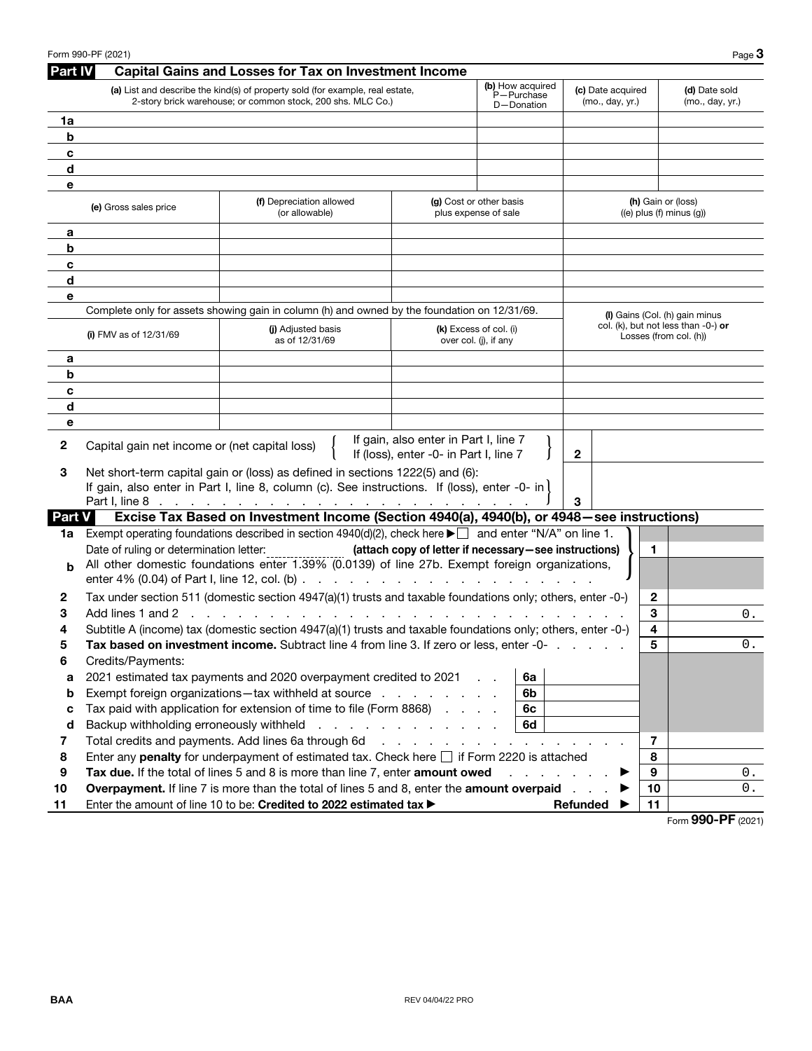|                | Form 990-PF (2021)                                                  |                                                                                                                                              |                                                                                 |                                                 |                                                       | Page $3$                                                                 |
|----------------|---------------------------------------------------------------------|----------------------------------------------------------------------------------------------------------------------------------------------|---------------------------------------------------------------------------------|-------------------------------------------------|-------------------------------------------------------|--------------------------------------------------------------------------|
| <b>Part IV</b> |                                                                     | <b>Capital Gains and Losses for Tax on Investment Income</b>                                                                                 |                                                                                 |                                                 |                                                       |                                                                          |
|                |                                                                     | (a) List and describe the kind(s) of property sold (for example, real estate,<br>2-story brick warehouse; or common stock, 200 shs. MLC Co.) |                                                                                 | (b) How acquired<br>P-Purchase<br>D-Donation    | (c) Date acquired<br>(mo., day, yr.)                  | (d) Date sold<br>(mo., day, yr.)                                         |
| 1a             |                                                                     |                                                                                                                                              |                                                                                 |                                                 |                                                       |                                                                          |
| b              |                                                                     |                                                                                                                                              |                                                                                 |                                                 |                                                       |                                                                          |
| c              |                                                                     |                                                                                                                                              |                                                                                 |                                                 |                                                       |                                                                          |
| d              |                                                                     |                                                                                                                                              |                                                                                 |                                                 |                                                       |                                                                          |
| e              |                                                                     |                                                                                                                                              |                                                                                 |                                                 |                                                       |                                                                          |
|                | (f) Depreciation allowed<br>(e) Gross sales price<br>(or allowable) |                                                                                                                                              | (g) Cost or other basis<br>plus expense of sale                                 |                                                 | (h) Gain or (loss)<br>$((e)$ plus $(f)$ minus $(g)$ ) |                                                                          |
| а              |                                                                     |                                                                                                                                              |                                                                                 |                                                 |                                                       |                                                                          |
| b              |                                                                     |                                                                                                                                              |                                                                                 |                                                 |                                                       |                                                                          |
| c              |                                                                     |                                                                                                                                              |                                                                                 |                                                 |                                                       |                                                                          |
| d              |                                                                     |                                                                                                                                              |                                                                                 |                                                 |                                                       |                                                                          |
| е              |                                                                     |                                                                                                                                              |                                                                                 |                                                 |                                                       |                                                                          |
|                |                                                                     | Complete only for assets showing gain in column (h) and owned by the foundation on 12/31/69.                                                 |                                                                                 |                                                 |                                                       | (I) Gains (Col. (h) gain minus<br>col. (k), but not less than $-0$ -) or |
|                | (i) FMV as of $12/31/69$                                            | (i) Adjusted basis<br>as of 12/31/69                                                                                                         |                                                                                 | (k) Excess of col. (i)<br>over col. (i), if any |                                                       | Losses (from col. (h))                                                   |
| а              |                                                                     |                                                                                                                                              |                                                                                 |                                                 |                                                       |                                                                          |
| b              |                                                                     |                                                                                                                                              |                                                                                 |                                                 |                                                       |                                                                          |
| c              |                                                                     |                                                                                                                                              |                                                                                 |                                                 |                                                       |                                                                          |
| d              |                                                                     |                                                                                                                                              |                                                                                 |                                                 |                                                       |                                                                          |
| е              |                                                                     |                                                                                                                                              |                                                                                 |                                                 |                                                       |                                                                          |
| 2              | Capital gain net income or (net capital loss)                       |                                                                                                                                              | If gain, also enter in Part I, line 7<br>If (loss), enter -0- in Part I, line 7 |                                                 | $\mathbf{2}$                                          |                                                                          |
| З              |                                                                     | Net short-term capital gain or (loss) as defined in sections 1222(5) and (6):                                                                |                                                                                 |                                                 |                                                       |                                                                          |
|                |                                                                     | If gain, also enter in Part I, line 8, column (c). See instructions. If (loss), enter -0- in $\vert$                                         |                                                                                 |                                                 |                                                       |                                                                          |
|                |                                                                     |                                                                                                                                              |                                                                                 |                                                 | 3                                                     |                                                                          |
| <b>Part V</b>  |                                                                     | Excise Tax Based on Investment Income (Section 4940(a), 4940(b), or 4948 - see instructions)                                                 |                                                                                 |                                                 |                                                       |                                                                          |
| 1a             |                                                                     | Exempt operating foundations described in section $4940(d)(2)$ , check here $\blacktriangleright \Box$ and enter "N/A" on line 1.            |                                                                                 |                                                 |                                                       |                                                                          |
|                | Date of ruling or determination letter:                             | All other domestic foundations enter 1.39% (0.0139) of line 27b. Exempt foreign organizations,                                               | (attach copy of letter if necessary-see instructions)                           |                                                 | 1                                                     |                                                                          |
| b              |                                                                     |                                                                                                                                              |                                                                                 |                                                 |                                                       |                                                                          |
| 2              |                                                                     | Tax under section 511 (domestic section 4947(a)(1) trusts and taxable foundations only; others, enter -0-)                                   |                                                                                 |                                                 | 2                                                     |                                                                          |
| 3              | Add lines 1 and 2<br><b>Contractor</b>                              |                                                                                                                                              |                                                                                 |                                                 | 3                                                     | 0.                                                                       |
| 4              |                                                                     | Subtitle A (income) tax (domestic section 4947(a)(1) trusts and taxable foundations only; others, enter -0-)                                 |                                                                                 |                                                 | 4                                                     |                                                                          |
| ວ              |                                                                     | Tax based on investment income. Subtract line 4 from line 3. If zero or less, enter -0-                                                      |                                                                                 |                                                 | 5                                                     | О.                                                                       |
| 6              | Credits/Payments:                                                   |                                                                                                                                              |                                                                                 |                                                 |                                                       |                                                                          |
| a              |                                                                     | 2021 estimated tax payments and 2020 overpayment credited to 2021                                                                            |                                                                                 | 6a                                              |                                                       |                                                                          |
| b              |                                                                     | Exempt foreign organizations—tax withheld at source                                                                                          |                                                                                 | 6b                                              |                                                       |                                                                          |
| c              |                                                                     | Tax paid with application for extension of time to file (Form 8868)                                                                          |                                                                                 | 6c                                              |                                                       |                                                                          |
| d              | Backup withholding erroneously withheld                             |                                                                                                                                              | and a straightful and a straight                                                | 6d                                              |                                                       |                                                                          |
| 7              |                                                                     | Total credits and payments. Add lines 6a through 6d                                                                                          | and the company of the company                                                  | and a state of                                  | $\overline{7}$                                        |                                                                          |
| 8              |                                                                     | Enter any penalty for underpayment of estimated tax. Check here $\Box$ if Form 2220 is attached                                              |                                                                                 |                                                 | 8                                                     |                                                                          |
| 9              |                                                                     | Tax due. If the total of lines 5 and 8 is more than line 7, enter amount owed                                                                |                                                                                 |                                                 | 9                                                     | 0.                                                                       |
| 10             |                                                                     | Overpayment. If line 7 is more than the total of lines 5 and 8, enter the amount overpaid                                                    |                                                                                 |                                                 | 10                                                    | $\boldsymbol{0}$ .                                                       |
| 11             |                                                                     | Enter the amount of line 10 to be: Credited to 2022 estimated tax >                                                                          |                                                                                 |                                                 | 11<br>Refunded                                        | 000 DE                                                                   |

Form **990-PF** (2021)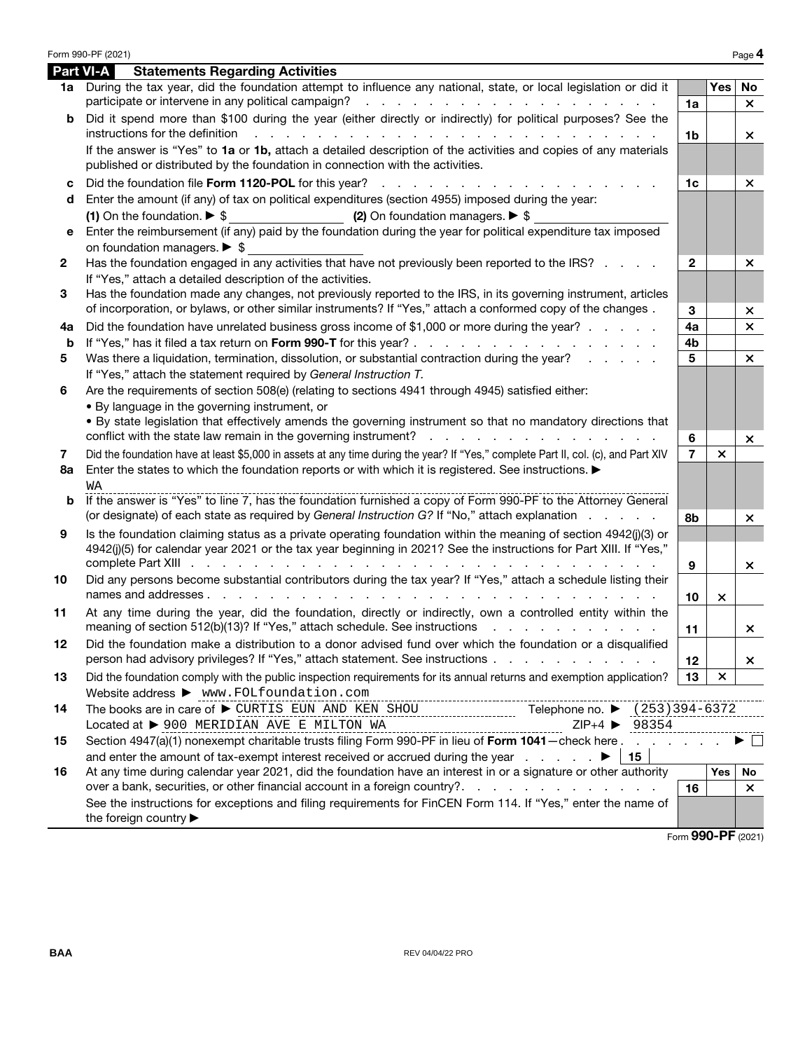|         | Form 990-PF (2021)                                                                                                                                                                                                                                                                                                                                                                                           |                      |                           | Page 4             |
|---------|--------------------------------------------------------------------------------------------------------------------------------------------------------------------------------------------------------------------------------------------------------------------------------------------------------------------------------------------------------------------------------------------------------------|----------------------|---------------------------|--------------------|
|         | <b>Part VI-A</b><br><b>Statements Regarding Activities</b>                                                                                                                                                                                                                                                                                                                                                   |                      |                           |                    |
|         | 1a During the tax year, did the foundation attempt to influence any national, state, or local legislation or did it<br>participate or intervene in any political campaign?<br>and the contract of the contract of the contract of the contract of the contract of the contract of the contract of the contract of the contract of the contract of the contract of the contract of the contract of the contra | 1a                   | Yes                       | No<br>$\times$     |
| b       | Did it spend more than \$100 during the year (either directly or indirectly) for political purposes? See the                                                                                                                                                                                                                                                                                                 |                      |                           |                    |
|         | instructions for the definition<br>de la caractería de la caractería de la caractería de la caractería de la<br>If the answer is "Yes" to 1a or 1b, attach a detailed description of the activities and copies of any materials<br>published or distributed by the foundation in connection with the activities.                                                                                             | 1 <sub>b</sub>       |                           | ×                  |
| c<br>d  | Did the foundation file Form 1120-POL for this year?<br>Enter the amount (if any) of tax on political expenditures (section 4955) imposed during the year:                                                                                                                                                                                                                                                   | 1 <sub>c</sub>       |                           | $\times$           |
| е       | (1) On the foundation. $\triangleright$ \$<br>(2) On foundation managers. $\triangleright$ \$<br>Enter the reimbursement (if any) paid by the foundation during the year for political expenditure tax imposed<br>on foundation managers. $\triangleright$ \$                                                                                                                                                |                      |                           |                    |
| 2       | Has the foundation engaged in any activities that have not previously been reported to the IRS?<br>If "Yes," attach a detailed description of the activities.                                                                                                                                                                                                                                                | $\mathbf{2}$         |                           | $\times$           |
| 3       | Has the foundation made any changes, not previously reported to the IRS, in its governing instrument, articles<br>of incorporation, or bylaws, or other similar instruments? If "Yes," attach a conformed copy of the changes.                                                                                                                                                                               | 3                    |                           | ×                  |
| 4а<br>b | Did the foundation have unrelated business gross income of \$1,000 or more during the year?                                                                                                                                                                                                                                                                                                                  | 4a<br>4 <sub>b</sub> |                           | $\times$           |
| 5       | Was there a liquidation, termination, dissolution, or substantial contraction during the year?                                                                                                                                                                                                                                                                                                               | 5                    |                           | $\times$           |
|         | If "Yes," attach the statement required by General Instruction T.                                                                                                                                                                                                                                                                                                                                            |                      |                           |                    |
| 6       | Are the requirements of section 508(e) (relating to sections 4941 through 4945) satisfied either:                                                                                                                                                                                                                                                                                                            |                      |                           |                    |
|         | . By language in the governing instrument, or                                                                                                                                                                                                                                                                                                                                                                |                      |                           |                    |
|         | . By state legislation that effectively amends the governing instrument so that no mandatory directions that                                                                                                                                                                                                                                                                                                 | 6                    |                           | $\times$           |
| 7       | Did the foundation have at least \$5,000 in assets at any time during the year? If "Yes," complete Part II, col. (c), and Part XIV                                                                                                                                                                                                                                                                           | $\overline{7}$       | $\boldsymbol{\mathsf{x}}$ |                    |
| 8a      | Enter the states to which the foundation reports or with which it is registered. See instructions.<br>WА                                                                                                                                                                                                                                                                                                     |                      |                           |                    |
| b       | If the answer is "Yes" to line 7, has the foundation furnished a copy of Form 990-PF to the Attorney General<br>(or designate) of each state as required by General Instruction G? If "No," attach explanation                                                                                                                                                                                               | 8b                   |                           | ×                  |
| 9       | Is the foundation claiming status as a private operating foundation within the meaning of section 4942(j)(3) or<br>4942(j)(5) for calendar year 2021 or the tax year beginning in 2021? See the instructions for Part XIII. If "Yes,"                                                                                                                                                                        | 9                    |                           | ×.                 |
| 10      | Did any persons become substantial contributors during the tax year? If "Yes," attach a schedule listing their                                                                                                                                                                                                                                                                                               | 10                   | $\times$                  |                    |
| 11      | At any time during the year, did the foundation, directly or indirectly, own a controlled entity within the<br>meaning of section 512(b)(13)? If "Yes," attach schedule. See instructions                                                                                                                                                                                                                    | 11                   |                           | ×.                 |
|         | Did the foundation make a distribution to a donor advised fund over which the foundation or a disqualified<br>person had advisory privileges? If "Yes," attach statement. See instructions                                                                                                                                                                                                                   | 12 <sup>2</sup>      |                           | ×.                 |
| 13      | Did the foundation comply with the public inspection requirements for its annual returns and exemption application?<br>Website address > www.FOLfoundation.com<br>--------------------------------                                                                                                                                                                                                           | 13                   | ×                         |                    |
| 14      | The books are in care of ▶ CURTIS EUN AND KEN SHOU<br>Telephone no. ▶ (253) 394-6372<br>Located at > 900 MERIDIAN AVE E MILTON WA<br>$ZIP+4$ $\triangleright$ 98354                                                                                                                                                                                                                                          |                      |                           |                    |
| 15      | Section 4947(a)(1) nonexempt charitable trusts filing Form 990-PF in lieu of Form 1041 - check here<br>and enter the amount of tax-exempt interest received or accrued during the year $\qquad \qquad \blacktriangleright$<br>  15                                                                                                                                                                           |                      |                           | $\Box$             |
| 16      | At any time during calendar year 2021, did the foundation have an interest in or a signature or other authority                                                                                                                                                                                                                                                                                              |                      | Yes                       | No                 |
|         |                                                                                                                                                                                                                                                                                                                                                                                                              | 16                   |                           | $\times$           |
|         | See the instructions for exceptions and filing requirements for FinCEN Form 114. If "Yes," enter the name of<br>the foreign country ▶                                                                                                                                                                                                                                                                        |                      |                           |                    |
|         |                                                                                                                                                                                                                                                                                                                                                                                                              |                      |                           | Form 990-PF (2021) |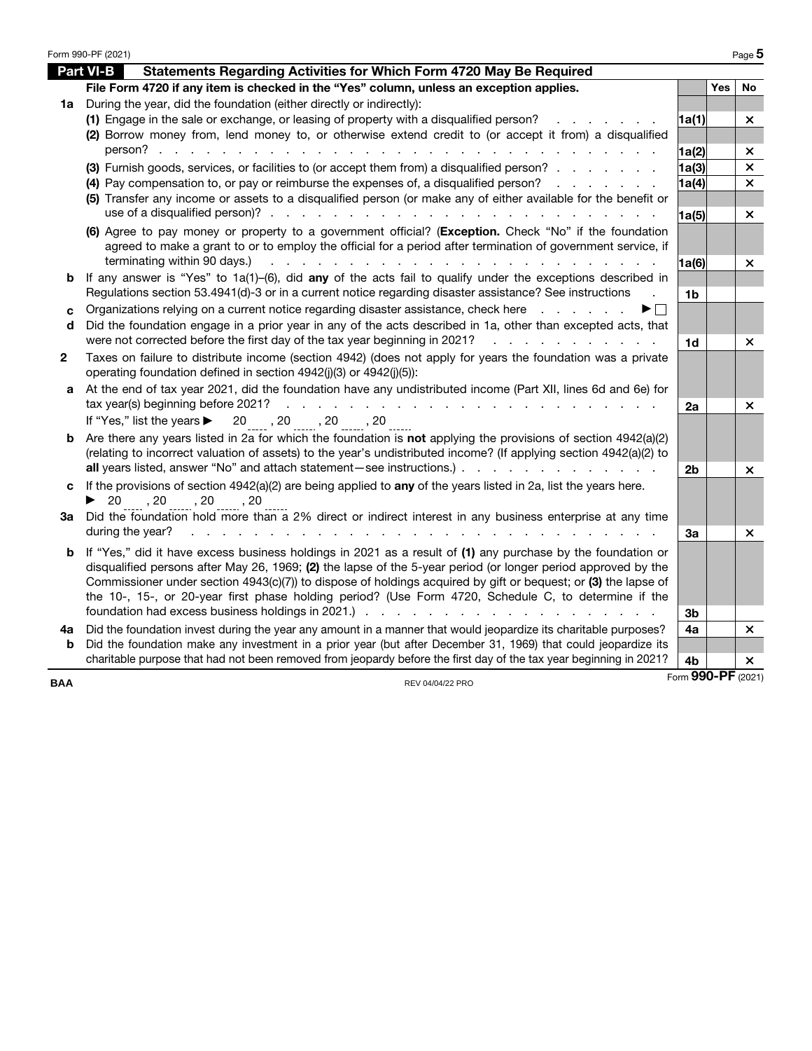|              | Form 990-PF (2021)                                                                                                                                                                                                                                            |                    |     | Page 5                    |
|--------------|---------------------------------------------------------------------------------------------------------------------------------------------------------------------------------------------------------------------------------------------------------------|--------------------|-----|---------------------------|
|              | <b>Part VI-B</b><br>Statements Regarding Activities for Which Form 4720 May Be Required                                                                                                                                                                       |                    |     |                           |
|              | File Form 4720 if any item is checked in the "Yes" column, unless an exception applies.                                                                                                                                                                       |                    | Yes | No                        |
|              | 1a During the year, did the foundation (either directly or indirectly):                                                                                                                                                                                       |                    |     |                           |
|              | (1) Engage in the sale or exchange, or leasing of property with a disqualified person?                                                                                                                                                                        | 1a(1)              |     | $\times$                  |
|              | (2) Borrow money from, lend money to, or otherwise extend credit to (or accept it from) a disqualified                                                                                                                                                        |                    |     |                           |
|              | person?                                                                                                                                                                                                                                                       | 1a(2)              |     | ×                         |
|              | (3) Furnish goods, services, or facilities to (or accept them from) a disqualified person?                                                                                                                                                                    | 1a(3)              |     | $\boldsymbol{\mathsf{x}}$ |
|              | (4) Pay compensation to, or pay or reimburse the expenses of, a disqualified person?<br>and the company of the company of                                                                                                                                     | 1a(4)              |     | $\boldsymbol{\times}$     |
|              | (5) Transfer any income or assets to a disqualified person (or make any of either available for the benefit or                                                                                                                                                |                    |     |                           |
|              |                                                                                                                                                                                                                                                               | 1a(5)              |     | ×                         |
|              | (6) Agree to pay money or property to a government official? (Exception. Check "No" if the foundation<br>agreed to make a grant to or to employ the official for a period after termination of government service, if                                         |                    |     |                           |
|              | terminating within 90 days.)<br>a construction of the construction of the construction of the construction of the construction of the construction of the construction of the construction of the construction of the construction of the construction of the | 1a(6)              |     | $\times$                  |
| b            | If any answer is "Yes" to $1a(1)$ -(6), did any of the acts fail to qualify under the exceptions described in                                                                                                                                                 |                    |     |                           |
|              | Regulations section 53.4941(d)-3 or in a current notice regarding disaster assistance? See instructions                                                                                                                                                       | 1b                 |     |                           |
| c            | Organizations relying on a current notice regarding disaster assistance, check here                                                                                                                                                                           |                    |     |                           |
| d            | Did the foundation engage in a prior year in any of the acts described in 1a, other than excepted acts, that<br>were not corrected before the first day of the tax year beginning in 2021?                                                                    |                    |     |                           |
|              | and a straightful and a straight and                                                                                                                                                                                                                          | 1d                 |     | ×                         |
| $\mathbf{2}$ | Taxes on failure to distribute income (section 4942) (does not apply for years the foundation was a private<br>operating foundation defined in section 4942(j)(3) or 4942(j)(5)):                                                                             |                    |     |                           |
| a            | At the end of tax year 2021, did the foundation have any undistributed income (Part XII, lines 6d and 6e) for<br>tax year(s) beginning before 2021?<br>.                                                                                                      | 2a                 |     | ×                         |
|              | If "Yes," list the years $\blacktriangleright$ 20, 20, 20, 20, 20                                                                                                                                                                                             |                    |     |                           |
| b            | Are there any years listed in 2a for which the foundation is not applying the provisions of section $4942(a)(2)$                                                                                                                                              |                    |     |                           |
|              | (relating to incorrect valuation of assets) to the year's undistributed income? (If applying section 4942(a)(2) to                                                                                                                                            |                    |     |                           |
|              | all years listed, answer "No" and attach statement – see instructions.)                                                                                                                                                                                       | 2 <sub>b</sub>     |     | ×                         |
| c            | If the provisions of section $4942(a)(2)$ are being applied to any of the years listed in 2a, list the years here.                                                                                                                                            |                    |     |                           |
|              | $\triangleright$ 20, 20, 20, 20, 20                                                                                                                                                                                                                           |                    |     |                           |
| За           | Did the foundation hold more than a 2% direct or indirect interest in any business enterprise at any time                                                                                                                                                     |                    |     |                           |
|              | during the year?                                                                                                                                                                                                                                              | 3a                 |     | $\times$                  |
| b            | If "Yes," did it have excess business holdings in 2021 as a result of (1) any purchase by the foundation or                                                                                                                                                   |                    |     |                           |
|              | disqualified persons after May 26, 1969; (2) the lapse of the 5-year period (or longer period approved by the                                                                                                                                                 |                    |     |                           |
|              | Commissioner under section 4943(c)(7)) to dispose of holdings acquired by gift or bequest; or (3) the lapse of                                                                                                                                                |                    |     |                           |
|              | the 10-, 15-, or 20-year first phase holding period? (Use Form 4720, Schedule C, to determine if the                                                                                                                                                          |                    |     |                           |
|              |                                                                                                                                                                                                                                                               | 3b                 |     |                           |
| 4a<br>b      | Did the foundation invest during the year any amount in a manner that would jeopardize its charitable purposes?<br>Did the foundation make any investment in a prior year (but after December 31, 1969) that could jeopardize its                             | 4a                 |     | $\times$                  |
|              | charitable purpose that had not been removed from jeopardy before the first day of the tax year beginning in 2021?                                                                                                                                            | 4b                 |     | $\times$                  |
|              |                                                                                                                                                                                                                                                               | Form 990-PF (2021) |     |                           |
| <b>BAA</b>   | REV 04/04/22 PRO                                                                                                                                                                                                                                              |                    |     |                           |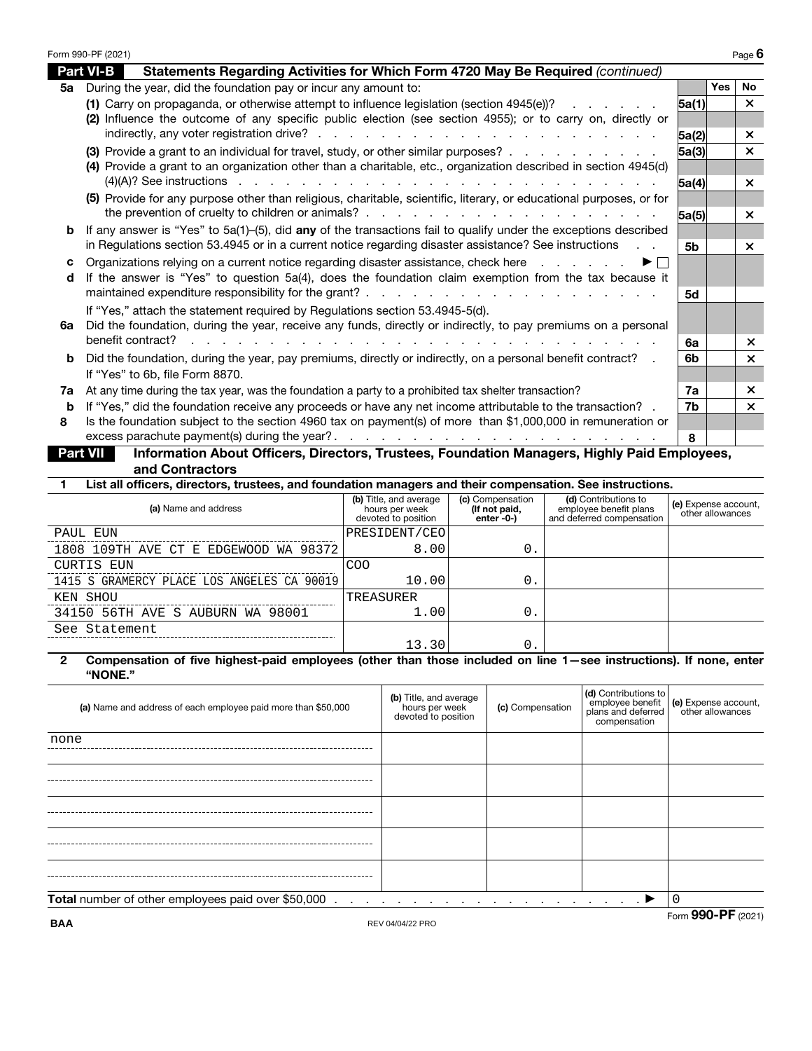|    | Form 990-PF (2021)                                                                                                                                                                            |       |            | Page 6                    |
|----|-----------------------------------------------------------------------------------------------------------------------------------------------------------------------------------------------|-------|------------|---------------------------|
|    | <b>Part VI-B</b><br>Statements Regarding Activities for Which Form 4720 May Be Required (continued)                                                                                           |       |            |                           |
| 5а | During the year, did the foundation pay or incur any amount to:                                                                                                                               |       | <b>Yes</b> | <b>No</b>                 |
|    | (1) Carry on propaganda, or otherwise attempt to influence legislation (section 4945(e))?                                                                                                     | 5a(1) |            | $\times$                  |
|    | (2) Influence the outcome of any specific public election (see section 4955); or to carry on, directly or                                                                                     |       |            |                           |
|    |                                                                                                                                                                                               | 5a(2) |            | $\times$                  |
|    | (3) Provide a grant to an individual for travel, study, or other similar purposes?                                                                                                            | 5a(3) |            | $\times$                  |
|    | (4) Provide a grant to an organization other than a charitable, etc., organization described in section 4945(d)                                                                               |       |            |                           |
|    | $(4)(A)?$ See instructions $\cdots$ $\cdots$ $\cdots$ $\cdots$ $\cdots$ $\cdots$ $\cdots$ $\cdots$ $\cdots$ $\cdots$ $\cdots$                                                                 | 5a(4) |            | $\boldsymbol{\mathsf{x}}$ |
|    | (5) Provide for any purpose other than religious, charitable, scientific, literary, or educational purposes, or for                                                                           |       |            |                           |
|    |                                                                                                                                                                                               | 5a(5) |            | $\boldsymbol{\times}$     |
| b  | If any answer is "Yes" to $5a(1)$ –(5), did any of the transactions fail to qualify under the exceptions described                                                                            |       |            |                           |
|    | in Regulations section 53.4945 or in a current notice regarding disaster assistance? See instructions                                                                                         | 5b    |            | $\times$                  |
| c  | Organizations relying on a current notice regarding disaster assistance, check here<br>$\blacktriangleright$ $\vdash$                                                                         |       |            |                           |
| d  | If the answer is "Yes" to question 5a(4), does the foundation claim exemption from the tax because it                                                                                         |       |            |                           |
|    |                                                                                                                                                                                               | 5d    |            |                           |
| 6а | If "Yes," attach the statement required by Regulations section 53.4945-5(d).<br>Did the foundation, during the year, receive any funds, directly or indirectly, to pay premiums on a personal |       |            |                           |
|    | benefit contract?                                                                                                                                                                             | 6а    |            | $\times$                  |
| b  | Did the foundation, during the year, pay premiums, directly or indirectly, on a personal benefit contract? .                                                                                  | 6b    |            | $\mathsf{x}$              |
|    | If "Yes" to 6b, file Form 8870.                                                                                                                                                               |       |            |                           |
| 7а | At any time during the tax year, was the foundation a party to a prohibited tax shelter transaction?                                                                                          | 7a    |            | $\mathsf{x}$              |
| b  | If "Yes," did the foundation receive any proceeds or have any net income attributable to the transaction? .                                                                                   | 7b    |            | $\mathsf{x}$              |
| 8  | Is the foundation subject to the section 4960 tax on payment(s) of more than \$1,000,000 in remuneration or                                                                                   |       |            |                           |
|    | excess parachute payment(s) during the year?.                                                                                                                                                 | 8     |            |                           |
|    | Information About Officers, Directors, Trustees, Foundation Managers, Highly Paid Employees,<br><b>Part VII</b>                                                                               |       |            |                           |
|    |                                                                                                                                                                                               |       |            |                           |

**and Contractors**

**1 List all officers, directors, trustees, and foundation managers and their compensation. See instructions.**

| (a) Name and address                       | (b) Title, and average<br>hours per week<br>devoted to position | (c) Compensation<br>(If not paid,<br>enter $-0$ -) | (d) Contributions to<br>employee benefit plans<br>and deferred compensation | (e) Expense account,<br>other allowances |
|--------------------------------------------|-----------------------------------------------------------------|----------------------------------------------------|-----------------------------------------------------------------------------|------------------------------------------|
| PAUL EUN                                   | PRESIDENT/CEO                                                   |                                                    |                                                                             |                                          |
| 1808 109TH AVE CT E EDGEWOOD WA 98372      | 8.001                                                           | 0.                                                 |                                                                             |                                          |
| CURTIS EUN                                 | <b>COO</b>                                                      |                                                    |                                                                             |                                          |
| 1415 S GRAMERCY PLACE LOS ANGELES CA 90019 | 10.00                                                           | 0.                                                 |                                                                             |                                          |
| KEN SHOU                                   | TREASURER                                                       |                                                    |                                                                             |                                          |
| 34150 56TH AVE S AUBURN WA 98001           | 1.00                                                            | 0.                                                 |                                                                             |                                          |
| See Statement                              |                                                                 |                                                    |                                                                             |                                          |
|                                            | 13.30                                                           | 0.                                                 |                                                                             |                                          |

### **2 Compensation of five highest-paid employees (other than those included on line 1—see instructions). If none, enter "NONE."**

| (a) Name and address of each employee paid more than \$50,000                                                   | (b) Title, and average<br>hours per week<br>devoted to position | (c) Compensation | (d) Contributions to<br>employee benefit<br>plans and deferred<br>compensation | (e) Expense account,<br>other allowances |
|-----------------------------------------------------------------------------------------------------------------|-----------------------------------------------------------------|------------------|--------------------------------------------------------------------------------|------------------------------------------|
| none                                                                                                            |                                                                 |                  |                                                                                |                                          |
|                                                                                                                 |                                                                 |                  |                                                                                |                                          |
|                                                                                                                 |                                                                 |                  |                                                                                |                                          |
|                                                                                                                 |                                                                 |                  |                                                                                |                                          |
|                                                                                                                 |                                                                 |                  |                                                                                |                                          |
| Total number of other employees paid over \$50,000<br>$\mathbf{z} = \mathbf{z} + \mathbf{z}$ . The $\mathbf{z}$ |                                                                 |                  |                                                                                | 0                                        |
| <b>BAA</b>                                                                                                      | REV 04/04/22 PRO                                                |                  |                                                                                | Form 990-PF (2021)                       |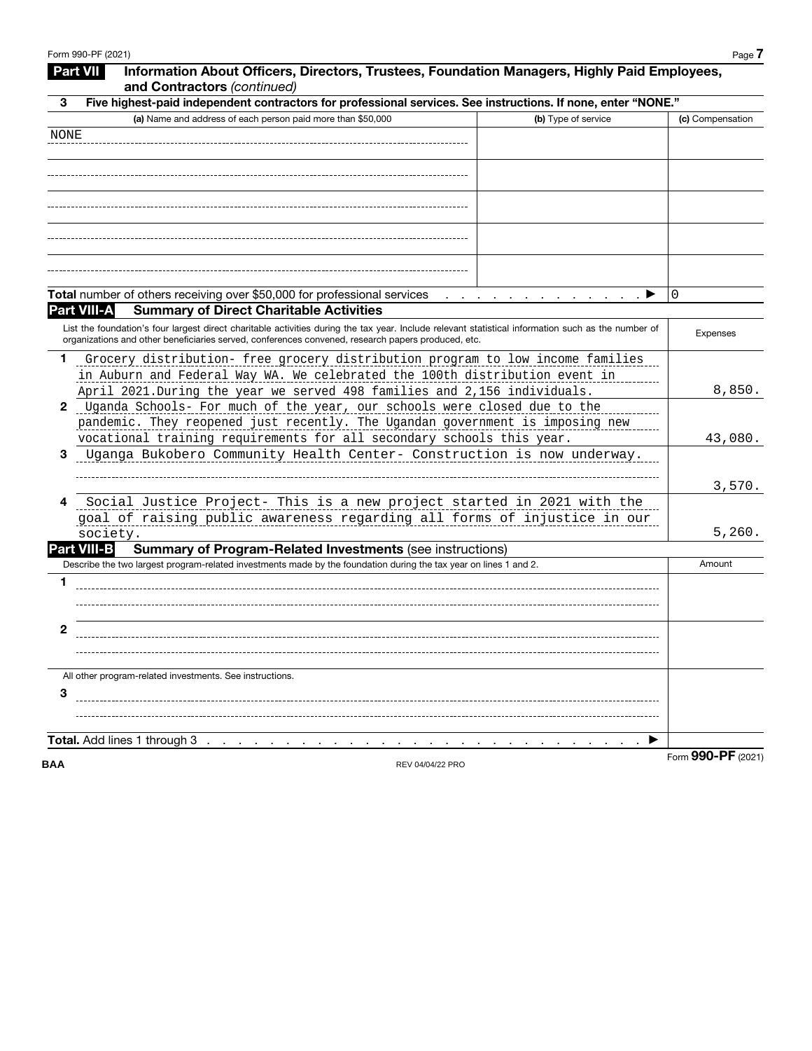|      | Information About Officers, Directors, Trustees, Foundation Managers, Highly Paid Employees,<br>Part VII<br>and Contractors (continued)                                                                                                                   |                   |
|------|-----------------------------------------------------------------------------------------------------------------------------------------------------------------------------------------------------------------------------------------------------------|-------------------|
| 3    | Five highest-paid independent contractors for professional services. See instructions. If none, enter "NONE."                                                                                                                                             |                   |
|      | (a) Name and address of each person paid more than \$50,000<br>(b) Type of service                                                                                                                                                                        | (c) Compensation  |
| NONE |                                                                                                                                                                                                                                                           |                   |
|      |                                                                                                                                                                                                                                                           |                   |
|      |                                                                                                                                                                                                                                                           |                   |
|      |                                                                                                                                                                                                                                                           |                   |
|      |                                                                                                                                                                                                                                                           |                   |
|      |                                                                                                                                                                                                                                                           |                   |
|      | Total number of others receiving over \$50,000 for professional services<br>ا الأمريكي المتحدة المتحدة المتحدة المتحدة المتحدة المتحدة المتحدة المتحدة المتحدة المتحدة المتحدة ا                                                                          | 0                 |
|      | <b>Summary of Direct Charitable Activities</b><br><b>Part VIII-A</b>                                                                                                                                                                                      |                   |
|      | List the foundation's four largest direct charitable activities during the tax year. Include relevant statistical information such as the number of<br>organizations and other beneficiaries served, conferences convened, research papers produced, etc. | <b>Expenses</b>   |
| 1.   | Grocery distribution- free grocery distribution program to low income families<br>in Auburn and Federal Way WA. We celebrated the 100th distribution event in<br>April 2021. During the year we served 498 families and 2,156 individuals.                | 8,850.            |
| 2    | Uganda Schools- For much of the year, our schools were closed due to the                                                                                                                                                                                  |                   |
|      | pandemic. They reopened just recently. The Ugandan government is imposing new<br>vocational training requirements for all secondary schools this year.                                                                                                    | 43,080.           |
| з    | Uganga Bukobero Community Health Center- Construction is now underway.                                                                                                                                                                                    |                   |
|      |                                                                                                                                                                                                                                                           | 3,570.            |
| 4    | Social Justice Project- This is a new project started in 2021 with the<br>goal of raising public awareness regarding all forms of injustice in our<br>society.                                                                                            | 5,260.            |
|      | <b>Part VIII-B</b><br><b>Summary of Program-Related Investments (see instructions)</b>                                                                                                                                                                    |                   |
|      | Describe the two largest program-related investments made by the foundation during the tax year on lines 1 and 2.                                                                                                                                         | Amount            |
| 1    |                                                                                                                                                                                                                                                           |                   |
| 2    |                                                                                                                                                                                                                                                           |                   |
|      |                                                                                                                                                                                                                                                           |                   |
|      | All other program-related investments. See instructions.                                                                                                                                                                                                  |                   |
| 3    |                                                                                                                                                                                                                                                           |                   |
|      | Total. Add lines 1 through 3                                                                                                                                                                                                                              |                   |
|      | and a series of the contract of the contract of the contract of                                                                                                                                                                                           | Eorm 990-PF (2021 |

**BAA** REV 04/04/22 PRO

Form **990-PF** (2021)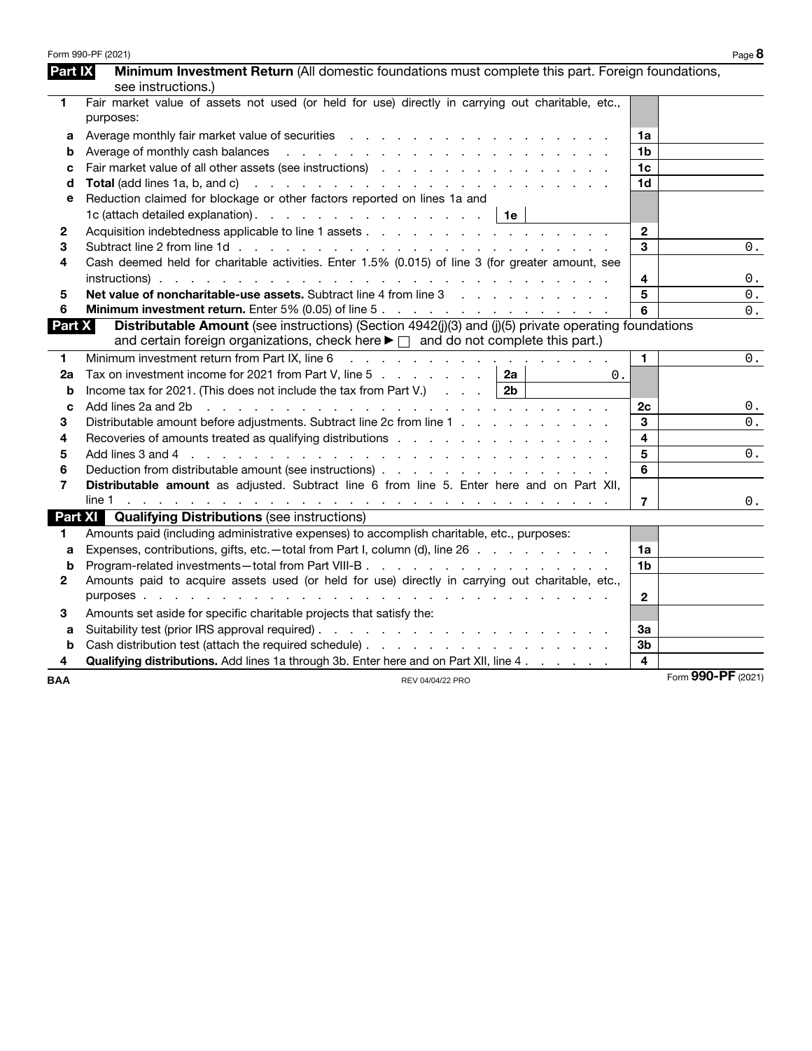|              | Form 990-PF (2021)                                                                                                                                                                                                                                   |                    | Page 8 |
|--------------|------------------------------------------------------------------------------------------------------------------------------------------------------------------------------------------------------------------------------------------------------|--------------------|--------|
| Part IX      | Minimum Investment Return (All domestic foundations must complete this part. Foreign foundations,                                                                                                                                                    |                    |        |
|              | see instructions.)                                                                                                                                                                                                                                   |                    |        |
| 1            | Fair market value of assets not used (or held for use) directly in carrying out charitable, etc.,                                                                                                                                                    |                    |        |
|              | purposes:                                                                                                                                                                                                                                            |                    |        |
| а            |                                                                                                                                                                                                                                                      | 1a                 |        |
| b            | Average of monthly cash balances<br>the contract of the contract of the contract of the contract of the contract of the contract of the contract of                                                                                                  | 1 <sub>b</sub>     |        |
| c            |                                                                                                                                                                                                                                                      | 1 <sub>c</sub>     |        |
| d            | <b>Total</b> (add lines 1a, b, and c)<br>the contract of the contract of the contract of the contract of the contract of                                                                                                                             | 1 <sub>d</sub>     |        |
| е            | Reduction claimed for blockage or other factors reported on lines 1a and                                                                                                                                                                             |                    |        |
|              | 1c (attach detailed explanation). $\ldots$ $\ldots$ $\ldots$ $\ldots$ $\ldots$ $\ldots$   1e                                                                                                                                                         |                    |        |
| $\mathbf{2}$ |                                                                                                                                                                                                                                                      | $\mathbf{2}$       |        |
| 3            |                                                                                                                                                                                                                                                      | 3                  | 0.     |
| 4            | Cash deemed held for charitable activities. Enter 1.5% (0.015) of line 3 (for greater amount, see                                                                                                                                                    |                    |        |
|              |                                                                                                                                                                                                                                                      | 4                  | $0$ .  |
| 5            | <b>Net value of noncharitable-use assets.</b> Subtract line 4 from line 3 and the state of noncharitable use                                                                                                                                         | 5                  | $0$ .  |
| 6            |                                                                                                                                                                                                                                                      | 6                  | $0$ .  |
| Part X       | Distributable Amount (see instructions) (Section 4942(j)(3) and (j)(5) private operating foundations                                                                                                                                                 |                    |        |
|              | and certain foreign organizations, check here $\blacktriangleright \Box$ and do not complete this part.)                                                                                                                                             |                    |        |
| 1            | Minimum investment return from Part IX, line 6<br>المتعاطي والمتعاطي والمتعاط والمتعاط والمتعاطي والمتعاط                                                                                                                                            | $\mathbf{1}$       | $0$ .  |
| 2a           | Tax on investment income for 2021 from Part V, line 5<br>2a<br>$0$ .                                                                                                                                                                                 |                    |        |
| b            | Income tax for 2021. (This does not include the tax from Part V.)<br>2 <sub>b</sub>                                                                                                                                                                  |                    |        |
| C            | Add lines 2a and 2b<br>and a construction of the construction of the construction of the construction of the construction of the construction of the construction of the construction of the construction of the construction of the construction of | 2c                 | 0.     |
| 3            | Distributable amount before adjustments. Subtract line 2c from line 1                                                                                                                                                                                | 3                  | 0.     |
| 4            | Recoveries of amounts treated as qualifying distributions                                                                                                                                                                                            | 4                  |        |
| 5            |                                                                                                                                                                                                                                                      | 5                  | 0.     |
| 6            |                                                                                                                                                                                                                                                      | 6                  |        |
| 7            | Distributable amount as adjusted. Subtract line 6 from line 5. Enter here and on Part XII,                                                                                                                                                           |                    |        |
|              |                                                                                                                                                                                                                                                      | $\overline{7}$     | 0.     |
|              | <b>Part XI</b> Qualifying Distributions (see instructions)                                                                                                                                                                                           |                    |        |
| 1.           | Amounts paid (including administrative expenses) to accomplish charitable, etc., purposes:                                                                                                                                                           |                    |        |
| a            | Expenses, contributions, gifts, etc. - total from Part I, column (d), line 26                                                                                                                                                                        | 1a                 |        |
| b            |                                                                                                                                                                                                                                                      | 1 <sub>b</sub>     |        |
| $\mathbf{2}$ | Amounts paid to acquire assets used (or held for use) directly in carrying out charitable, etc.,                                                                                                                                                     |                    |        |
|              | purposes.<br>the contract of the contract of the contract of the contract of the contract of the contract of the contract of                                                                                                                         | $\overline{2}$     |        |
| 3            | Amounts set aside for specific charitable projects that satisfy the:                                                                                                                                                                                 |                    |        |
| a            |                                                                                                                                                                                                                                                      | За                 |        |
| b            |                                                                                                                                                                                                                                                      | 3 <sub>b</sub>     |        |
| 4            | <b>Qualifying distributions.</b> Add lines 1a through 3b. Enter here and on Part XII, line 4.                                                                                                                                                        | 4                  |        |
| <b>BAA</b>   | REV 04/04/22 PRO                                                                                                                                                                                                                                     | Form 990-PF (2021) |        |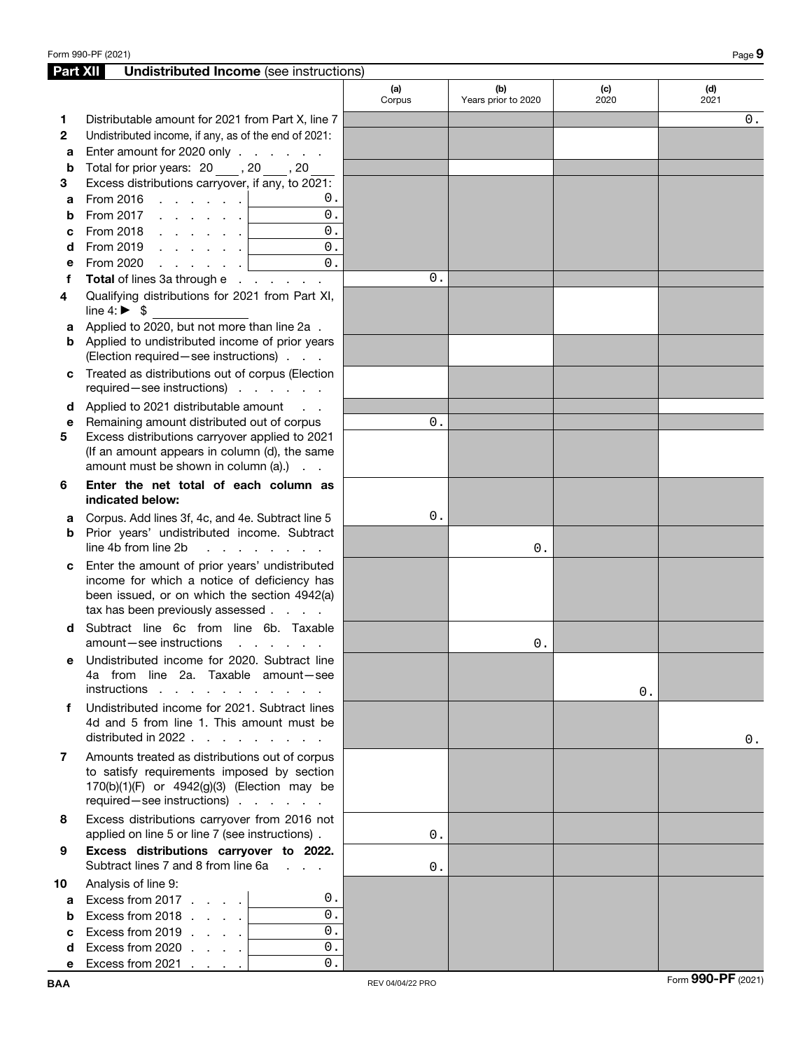| Part XII     | <b>Undistributed Income</b> (see instructions)                                                                                |               |                            |             |             |
|--------------|-------------------------------------------------------------------------------------------------------------------------------|---------------|----------------------------|-------------|-------------|
|              |                                                                                                                               | (a)<br>Corpus | (b)<br>Years prior to 2020 | (c)<br>2020 | (d)<br>2021 |
| 1            | Distributable amount for 2021 from Part X, line 7                                                                             |               |                            |             | $0$ .       |
| $\mathbf{2}$ | Undistributed income, if any, as of the end of 2021:                                                                          |               |                            |             |             |
| a            | Enter amount for 2020 only                                                                                                    |               |                            |             |             |
| b            | Total for prior years: 20, 30, 20                                                                                             |               |                            |             |             |
| 3            | Excess distributions carryover, if any, to 2021:                                                                              |               |                            |             |             |
| a            | From 2016 $\ldots$ $\ldots$ $\ldots$<br>0.                                                                                    |               |                            |             |             |
| b            | 0.<br>From 2017 $\, \cdot \,$ $\, \cdot \,$ $\, \cdot \,$ $\, \cdot \,$ $\,$ $\,$                                             |               |                            |             |             |
| C            | 0.<br>From 2018 $\, \ldots \, \ldots \, \,$                                                                                   |               |                            |             |             |
| d            | 0.                                                                                                                            |               |                            |             |             |
| е            | 0.<br>From 2020<br>المنابذ والمنابذة                                                                                          |               |                            |             |             |
| f            | Total of lines 3a through e                                                                                                   | 0.            |                            |             |             |
| 4            | Qualifying distributions for 2021 from Part XI,                                                                               |               |                            |             |             |
|              | line 4: $\triangleright$ \$                                                                                                   |               |                            |             |             |
| a            | Applied to 2020, but not more than line 2a.                                                                                   |               |                            |             |             |
| b            | Applied to undistributed income of prior years                                                                                |               |                            |             |             |
|              | (Election required - see instructions)                                                                                        |               |                            |             |             |
| C            | Treated as distributions out of corpus (Election                                                                              |               |                            |             |             |
|              | required-see instructions)                                                                                                    |               |                            |             |             |
| d            | Applied to 2021 distributable amount<br>$\sim$ $\sim$ $\sim$                                                                  |               |                            |             |             |
| е<br>5       | Remaining amount distributed out of corpus<br>Excess distributions carryover applied to 2021                                  | 0.            |                            |             |             |
|              | (If an amount appears in column (d), the same                                                                                 |               |                            |             |             |
|              | amount must be shown in column (a).)                                                                                          |               |                            |             |             |
| 6            | Enter the net total of each column as                                                                                         |               |                            |             |             |
|              | indicated below:                                                                                                              |               |                            |             |             |
| a            | Corpus. Add lines 3f, 4c, and 4e. Subtract line 5                                                                             | 0.            |                            |             |             |
| b            | Prior years' undistributed income. Subtract                                                                                   |               |                            |             |             |
|              | line 4b from line 2b<br>.                                                                                                     |               | 0.                         |             |             |
| c            | Enter the amount of prior years' undistributed                                                                                |               |                            |             |             |
|              | income for which a notice of deficiency has                                                                                   |               |                            |             |             |
|              | been issued, or on which the section 4942(a)<br>tax has been previously assessed                                              |               |                            |             |             |
|              | Subtract line 6c from line 6b. Taxable                                                                                        |               |                            |             |             |
| d            | amount-see instructions<br>and the control of the con-                                                                        |               | $0$ .                      |             |             |
|              | Undistributed income for 2020. Subtract line                                                                                  |               |                            |             |             |
|              | 4a from line 2a. Taxable amount-see                                                                                           |               |                            |             |             |
|              | instructions                                                                                                                  |               |                            | 0.          |             |
| f            | Undistributed income for 2021. Subtract lines                                                                                 |               |                            |             |             |
|              | 4d and 5 from line 1. This amount must be                                                                                     |               |                            |             |             |
|              | distributed in 2022 $\ldots$ , $\ldots$                                                                                       |               |                            |             | $0$ .       |
| 7            | Amounts treated as distributions out of corpus                                                                                |               |                            |             |             |
|              | to satisfy requirements imposed by section                                                                                    |               |                            |             |             |
|              | 170(b)(1)(F) or 4942(g)(3) (Election may be                                                                                   |               |                            |             |             |
|              | required-see instructions)                                                                                                    |               |                            |             |             |
| 8            | Excess distributions carryover from 2016 not                                                                                  |               |                            |             |             |
|              | applied on line 5 or line 7 (see instructions).                                                                               | $0$ .         |                            |             |             |
| 9            | Excess distributions carryover to 2022.<br>Subtract lines 7 and 8 from line 6a<br>$\mathbf{L} = \mathbf{L} \times \mathbf{L}$ | 0.            |                            |             |             |
| 10           | Analysis of line 9:                                                                                                           |               |                            |             |             |
| a            | Excess from 2017<br>0.                                                                                                        |               |                            |             |             |
| b            | $\overline{0}$ .<br>Excess from 2018                                                                                          |               |                            |             |             |
| C            | $0$ .<br>Excess from 2019                                                                                                     |               |                            |             |             |
| d            | $0$ .<br>Excess from 2020 $\ldots$ $\ldots$                                                                                   |               |                            |             |             |
| е            | $0$ .<br>Excess from 2021 $\ldots$                                                                                            |               |                            |             |             |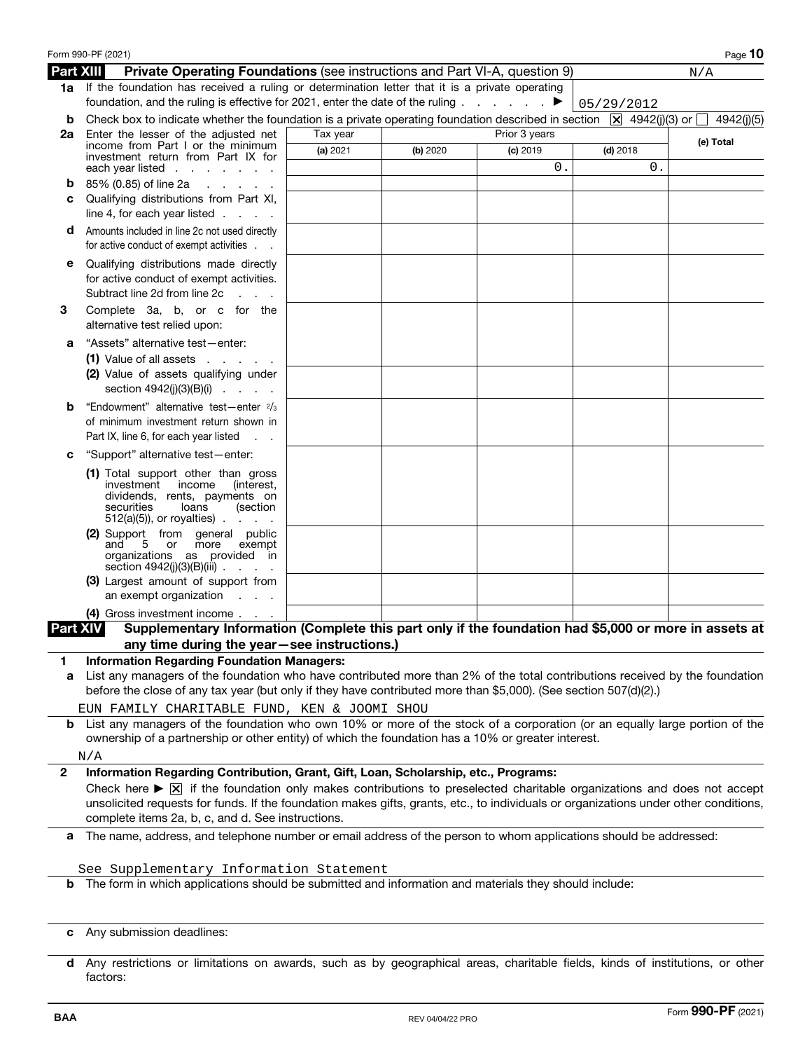|                  | Form 990-PF (2021)                                                                                                                                                                                                                                                                                   |          |          |               |            | Page 10   |
|------------------|------------------------------------------------------------------------------------------------------------------------------------------------------------------------------------------------------------------------------------------------------------------------------------------------------|----------|----------|---------------|------------|-----------|
| <b>Part XIII</b> | <b>Private Operating Foundations (see instructions and Part VI-A, question 9)</b>                                                                                                                                                                                                                    |          |          |               |            | N/A       |
|                  | 1a If the foundation has received a ruling or determination letter that it is a private operating<br>foundation, and the ruling is effective for 2021, enter the date of the ruling                                                                                                                  |          |          | ▶             | 05/29/2012 |           |
| b                | Check box to indicate whether the foundation is a private operating foundation described in section $\boxed{X}$ 4942(j)(3) or $\boxed{}$ 4942(j)(5)                                                                                                                                                  |          |          |               |            |           |
| 2a               | Enter the lesser of the adjusted net                                                                                                                                                                                                                                                                 | Tax year |          | Prior 3 years |            | (e) Total |
|                  | income from Part I or the minimum<br>investment return from Part IX for                                                                                                                                                                                                                              | (a) 2021 | (b) 2020 | $(c)$ 2019    | $(d)$ 2018 |           |
|                  | each year listed $\ldots$ $\ldots$ $\ldots$                                                                                                                                                                                                                                                          |          |          | 0.            | 0.         |           |
| b                | 85% (0.85) of line 2a<br>and the company of the company                                                                                                                                                                                                                                              |          |          |               |            |           |
| C                | Qualifying distributions from Part XI,                                                                                                                                                                                                                                                               |          |          |               |            |           |
|                  | line 4, for each year listed $\ldots$ .                                                                                                                                                                                                                                                              |          |          |               |            |           |
| d                | Amounts included in line 2c not used directly<br>for active conduct of exempt activities                                                                                                                                                                                                             |          |          |               |            |           |
| е                | Qualifying distributions made directly                                                                                                                                                                                                                                                               |          |          |               |            |           |
|                  | for active conduct of exempt activities.<br>Subtract line 2d from line 2c<br><b>Contractor</b>                                                                                                                                                                                                       |          |          |               |            |           |
| 3                | Complete 3a, b, or c for the<br>alternative test relied upon:                                                                                                                                                                                                                                        |          |          |               |            |           |
| а                | "Assets" alternative test-enter:                                                                                                                                                                                                                                                                     |          |          |               |            |           |
|                  | $(1)$ Value of all assets $\ldots$ $\ldots$                                                                                                                                                                                                                                                          |          |          |               |            |           |
|                  | (2) Value of assets qualifying under<br>section $4942(j)(3)(B)(i)$                                                                                                                                                                                                                                   |          |          |               |            |           |
| b                | "Endowment" alternative test-enter 2/3                                                                                                                                                                                                                                                               |          |          |               |            |           |
|                  | of minimum investment return shown in                                                                                                                                                                                                                                                                |          |          |               |            |           |
|                  | Part IX, line 6, for each year listed<br>$\sim 10$ $\sim$                                                                                                                                                                                                                                            |          |          |               |            |           |
| c                | "Support" alternative test-enter:                                                                                                                                                                                                                                                                    |          |          |               |            |           |
|                  | (1) Total support other than gross<br>investment income<br>(interest,<br>dividends, rents, payments on<br>securities<br>loans<br>(section<br>$512(a)(5)$ , or royalties).<br><b>Service</b> State                                                                                                    |          |          |               |            |           |
|                  | (2) Support from general public<br>and<br>5 or<br>more<br>exempt<br>organizations as provided in<br>section $4942(j)(3)(B)(iii)$                                                                                                                                                                     |          |          |               |            |           |
|                  | (3) Largest amount of support from<br>an exempt organization<br><b>Contractor</b>                                                                                                                                                                                                                    |          |          |               |            |           |
|                  | (4) Gross investment income                                                                                                                                                                                                                                                                          |          |          |               |            |           |
| <b>Part XIV</b>  | Supplementary Information (Complete this part only if the foundation had \$5,000 or more in assets at                                                                                                                                                                                                |          |          |               |            |           |
|                  | any time during the year-see instructions.)                                                                                                                                                                                                                                                          |          |          |               |            |           |
| 1.<br>a          | <b>Information Regarding Foundation Managers:</b><br>List any managers of the foundation who have contributed more than 2% of the total contributions received by the foundation<br>before the close of any tax year (but only if they have contributed more than \$5,000). (See section 507(d)(2).) |          |          |               |            |           |
| b                | EUN FAMILY CHARITABLE FUND, KEN & JOOMI SHOU<br>List any managers of the foundation who own 10% or more of the stock of a corporation (or an equally large portion of the                                                                                                                            |          |          |               |            |           |
|                  | ownership of a partnership or other entity) of which the foundation has a 10% or greater interest.                                                                                                                                                                                                   |          |          |               |            |           |
| $\mathbf{2}$     | N/A<br>Information Regarding Contribution, Grant, Gift, Loan, Scholarship, etc., Programs:                                                                                                                                                                                                           |          |          |               |            |           |
|                  | Check here $\triangleright \triangleright \triangleright$ if the foundation only makes contributions to preselected charitable organizations and does not accept                                                                                                                                     |          |          |               |            |           |
|                  | unsolicited requests for funds. If the foundation makes gifts, grants, etc., to individuals or organizations under other conditions,<br>complete items 2a, b, c, and d. See instructions.                                                                                                            |          |          |               |            |           |
| a                | The name, address, and telephone number or email address of the person to whom applications should be addressed:                                                                                                                                                                                     |          |          |               |            |           |
|                  | See Supplementary Information Statement                                                                                                                                                                                                                                                              |          |          |               |            |           |
| b                | The form in which applications should be submitted and information and materials they should include:                                                                                                                                                                                                |          |          |               |            |           |
| C                | Any submission deadlines:                                                                                                                                                                                                                                                                            |          |          |               |            |           |
|                  |                                                                                                                                                                                                                                                                                                      |          |          |               |            |           |

**d** Any restrictions or limitations on awards, such as by geographical areas, charitable fields, kinds of institutions, or other factors: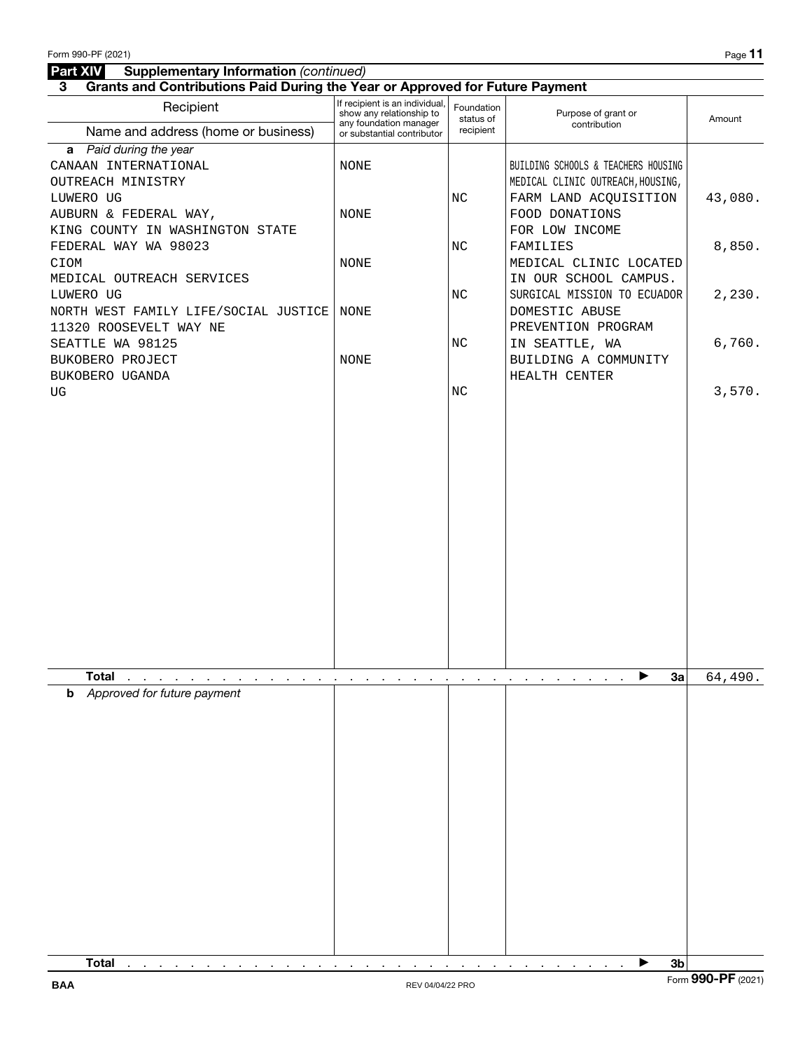### **Part XIV** Supplementary Information (continued)

**3 Grants and Contributions Paid During the Year or Approved for Future Payment**

| Recipient                                                                                | .<br>If recipient is an individual,<br>show any relationship to<br>any foundation manager | Foundation<br>status of | Purpose of grant or<br>contribution                                      | Amount             |
|------------------------------------------------------------------------------------------|-------------------------------------------------------------------------------------------|-------------------------|--------------------------------------------------------------------------|--------------------|
| Name and address (home or business)                                                      | or substantial contributor                                                                | recipient               |                                                                          |                    |
| a Paid during the year<br>CANAAN INTERNATIONAL<br>OUTREACH MINISTRY                      | NONE                                                                                      |                         | BUILDING SCHOOLS & TEACHERS HOUSING<br>MEDICAL CLINIC OUTREACH, HOUSING, |                    |
| LUWERO UG<br>AUBURN & FEDERAL WAY,<br>KING COUNTY IN WASHINGTON STATE                    | NONE                                                                                      | NC                      | FARM LAND ACQUISITION<br>FOOD DONATIONS<br>FOR LOW INCOME                | 43,080.            |
| FEDERAL WAY WA 98023<br>CIOM                                                             | NONE                                                                                      | NC                      | FAMILIES<br>MEDICAL CLINIC LOCATED                                       | 8,850.             |
| MEDICAL OUTREACH SERVICES<br>LUWERO UG<br>NORTH WEST FAMILY LIFE/SOCIAL JUSTICE          | NONE                                                                                      | NC                      | IN OUR SCHOOL CAMPUS.<br>SURGICAL MISSION TO ECUADOR<br>DOMESTIC ABUSE   | 2,230.             |
| 11320 ROOSEVELT WAY NE<br>SEATTLE WA 98125<br>BUKOBERO PROJECT                           | <b>NONE</b>                                                                               | NC                      | PREVENTION PROGRAM<br>IN SEATTLE, WA<br>BUILDING A COMMUNITY             | 6,760.             |
| BUKOBERO UGANDA<br>UG                                                                    |                                                                                           | NC                      | HEALTH CENTER                                                            | 3,570.             |
|                                                                                          |                                                                                           |                         |                                                                          |                    |
| <b>Total</b><br>and a second contract of the contract of the contract of the contract of | <b>Contract Contract</b>                                                                  |                         | 3a<br>▶<br>the contract of the contract of the contract of the con-      | 64,490.            |
| Approved for future payment<br>b<br><b>Total</b>                                         |                                                                                           |                         | 3 <sub>b</sub><br>▶                                                      |                    |
|                                                                                          |                                                                                           |                         |                                                                          | Form 990-PF (2021) |
| <b>BAA</b>                                                                               | REV 04/04/22 PRO                                                                          |                         |                                                                          |                    |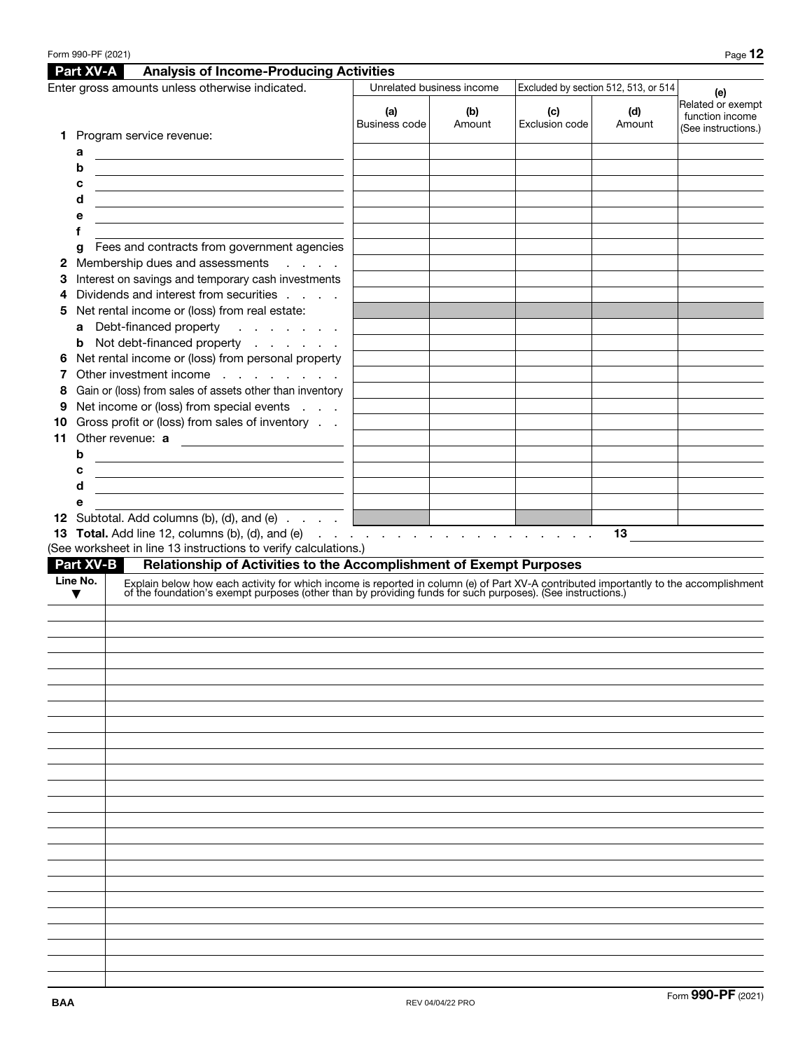|    |                  | Form 990-PF (2021)                                                                                                                                                                                                             |                             |                           |                       |                                      | Page 12                                                     |
|----|------------------|--------------------------------------------------------------------------------------------------------------------------------------------------------------------------------------------------------------------------------|-----------------------------|---------------------------|-----------------------|--------------------------------------|-------------------------------------------------------------|
|    | Part XV-A        | <b>Analysis of Income-Producing Activities</b>                                                                                                                                                                                 |                             |                           |                       |                                      |                                                             |
|    |                  | Enter gross amounts unless otherwise indicated.                                                                                                                                                                                |                             | Unrelated business income |                       | Excluded by section 512, 513, or 514 | (e)                                                         |
|    |                  |                                                                                                                                                                                                                                | (a)<br><b>Business code</b> | (b)<br>Amount             | (c)<br>Exclusion code | (d)<br>Amount                        | Related or exempt<br>function income<br>(See instructions.) |
| 1. |                  | Program service revenue:                                                                                                                                                                                                       |                             |                           |                       |                                      |                                                             |
|    | а                |                                                                                                                                                                                                                                |                             |                           |                       |                                      |                                                             |
|    | b                | <u> 1989 - Johann Barbara, marka a shekara tsa 1989 - An tsa 1989 - An tsa 1989 - An tsa 1989 - An tsa 1989 - An</u>                                                                                                           |                             |                           |                       |                                      |                                                             |
|    | c                | <u> 1989 - Johann Barbara, martxa eta batarra (h. 1982).</u>                                                                                                                                                                   |                             |                           |                       |                                      |                                                             |
|    | d                | <u> 1989 - Johann Stein, marwolaethau a bhann an t-Amhair an t-Amhair an t-Amhair an t-Amhair an t-Amhair an t-A</u>                                                                                                           |                             |                           |                       |                                      |                                                             |
|    | е                |                                                                                                                                                                                                                                |                             |                           |                       |                                      |                                                             |
|    | f                |                                                                                                                                                                                                                                |                             |                           |                       |                                      |                                                             |
| 2  | g                | Fees and contracts from government agencies<br>Membership dues and assessments<br><b>Service</b> State                                                                                                                         |                             |                           |                       |                                      |                                                             |
| З  |                  | Interest on savings and temporary cash investments                                                                                                                                                                             |                             |                           |                       |                                      |                                                             |
| 4  |                  | Dividends and interest from securities                                                                                                                                                                                         |                             |                           |                       |                                      |                                                             |
| 5  |                  | Net rental income or (loss) from real estate:                                                                                                                                                                                  |                             |                           |                       |                                      |                                                             |
|    | a                | Debt-financed property                                                                                                                                                                                                         |                             |                           |                       |                                      |                                                             |
|    | b                | Not debt-financed property                                                                                                                                                                                                     |                             |                           |                       |                                      |                                                             |
| 6  |                  | Net rental income or (loss) from personal property                                                                                                                                                                             |                             |                           |                       |                                      |                                                             |
|    |                  | Other investment income                                                                                                                                                                                                        |                             |                           |                       |                                      |                                                             |
| 8  |                  | Gain or (loss) from sales of assets other than inventory                                                                                                                                                                       |                             |                           |                       |                                      |                                                             |
| 9  |                  | Net income or (loss) from special events                                                                                                                                                                                       |                             |                           |                       |                                      |                                                             |
| 10 |                  | Gross profit or (loss) from sales of inventory                                                                                                                                                                                 |                             |                           |                       |                                      |                                                             |
| 11 |                  | Other revenue: a                                                                                                                                                                                                               |                             |                           |                       |                                      |                                                             |
|    | b                | <u> 1989 - Johann Barn, fransk politik (d. 1989)</u>                                                                                                                                                                           |                             |                           |                       |                                      |                                                             |
|    | с                | <u> 1989 - Johann Barn, fransk politik (d. 1989)</u>                                                                                                                                                                           |                             |                           |                       |                                      |                                                             |
|    | d<br>е           | <u> 1989 - Johann Barn, mars ann an t-Amhain ann an t-Amhain an t-Amhain an t-Amhain an t-Amhain an t-Amhain an t-</u>                                                                                                         |                             |                           |                       |                                      |                                                             |
|    |                  | <b>12</b> Subtotal. Add columns (b), (d), and (e) $\ldots$ $\ldots$                                                                                                                                                            |                             |                           |                       |                                      |                                                             |
|    |                  | 12 Subtotal. Add columns (b), (d), and (e) $\cdots$ $\cdots$ $\cdots$ $\cdots$ $\cdots$ $\cdots$ $\cdots$ $\cdots$ $\cdots$ $\cdots$                                                                                           |                             |                           |                       | 13                                   |                                                             |
|    |                  | (See worksheet in line 13 instructions to verify calculations.)                                                                                                                                                                |                             |                           |                       |                                      |                                                             |
|    | <b>Part XV-B</b> | Relationship of Activities to the Accomplishment of Exempt Purposes                                                                                                                                                            |                             |                           |                       |                                      |                                                             |
|    | Line No.         | Explain below how each activity for which income is reported in column (e) of Part XV-A contributed importantly to the accomplishment of the foundation's exempt purposes (other than by providing funds for such purposes). ( |                             |                           |                       |                                      |                                                             |
|    | ▼                |                                                                                                                                                                                                                                |                             |                           |                       |                                      |                                                             |
|    |                  |                                                                                                                                                                                                                                |                             |                           |                       |                                      |                                                             |
|    |                  |                                                                                                                                                                                                                                |                             |                           |                       |                                      |                                                             |
|    |                  |                                                                                                                                                                                                                                |                             |                           |                       |                                      |                                                             |
|    |                  |                                                                                                                                                                                                                                |                             |                           |                       |                                      |                                                             |
|    |                  |                                                                                                                                                                                                                                |                             |                           |                       |                                      |                                                             |
|    |                  |                                                                                                                                                                                                                                |                             |                           |                       |                                      |                                                             |
|    |                  |                                                                                                                                                                                                                                |                             |                           |                       |                                      |                                                             |
|    |                  |                                                                                                                                                                                                                                |                             |                           |                       |                                      |                                                             |
|    |                  |                                                                                                                                                                                                                                |                             |                           |                       |                                      |                                                             |
|    |                  |                                                                                                                                                                                                                                |                             |                           |                       |                                      |                                                             |
|    |                  |                                                                                                                                                                                                                                |                             |                           |                       |                                      |                                                             |
|    |                  |                                                                                                                                                                                                                                |                             |                           |                       |                                      |                                                             |
|    |                  |                                                                                                                                                                                                                                |                             |                           |                       |                                      |                                                             |
|    |                  |                                                                                                                                                                                                                                |                             |                           |                       |                                      |                                                             |
|    |                  |                                                                                                                                                                                                                                |                             |                           |                       |                                      |                                                             |
|    |                  |                                                                                                                                                                                                                                |                             |                           |                       |                                      |                                                             |
|    |                  |                                                                                                                                                                                                                                |                             |                           |                       |                                      |                                                             |
|    |                  |                                                                                                                                                                                                                                |                             |                           |                       |                                      |                                                             |
|    |                  |                                                                                                                                                                                                                                |                             |                           |                       |                                      |                                                             |
|    |                  |                                                                                                                                                                                                                                |                             |                           |                       |                                      |                                                             |
|    |                  |                                                                                                                                                                                                                                |                             |                           |                       |                                      |                                                             |
|    |                  |                                                                                                                                                                                                                                |                             |                           |                       |                                      |                                                             |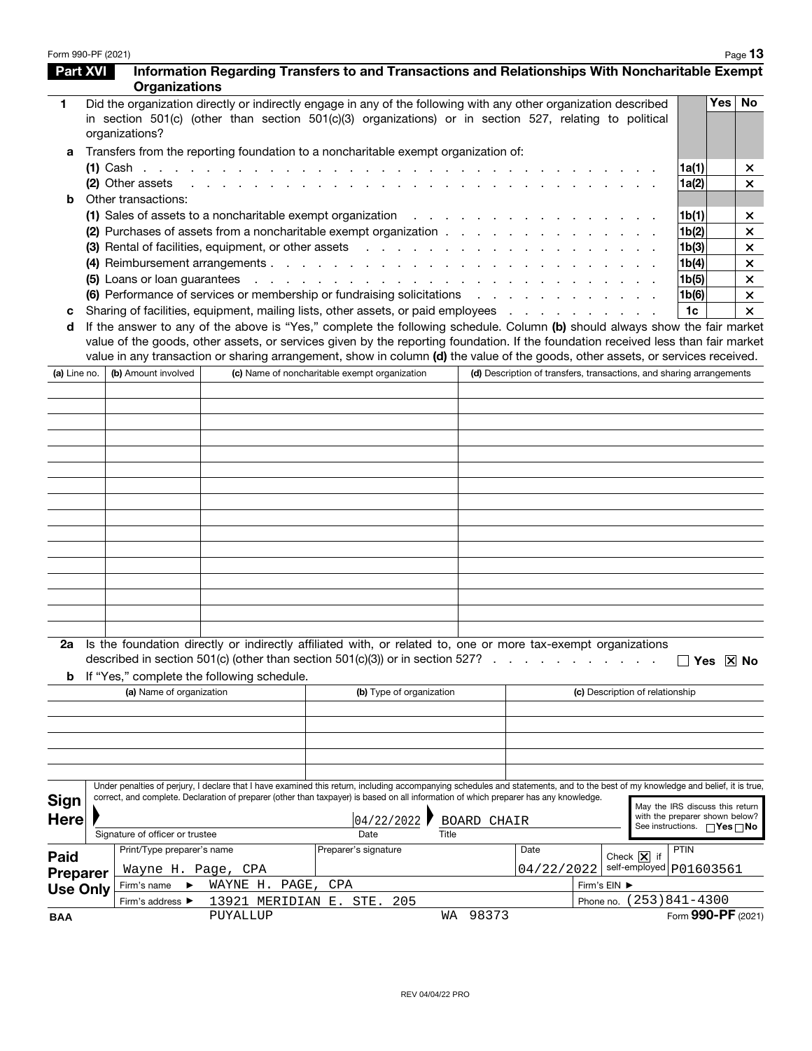| Form 990-PF (2021) |                                 |                                                                                                                                                                                                                                                                                                                       |           |                                                                     |       |                    |            |                                                                      |                                        |                                          | Page 13      |
|--------------------|---------------------------------|-----------------------------------------------------------------------------------------------------------------------------------------------------------------------------------------------------------------------------------------------------------------------------------------------------------------------|-----------|---------------------------------------------------------------------|-------|--------------------|------------|----------------------------------------------------------------------|----------------------------------------|------------------------------------------|--------------|
| <b>Part XVI</b>    | <b>Organizations</b>            | Information Regarding Transfers to and Transactions and Relationships With Noncharitable Exempt                                                                                                                                                                                                                       |           |                                                                     |       |                    |            |                                                                      |                                        |                                          |              |
| 1                  | organizations?                  | Did the organization directly or indirectly engage in any of the following with any other organization described<br>in section 501(c) (other than section 501(c)(3) organizations) or in section 527, relating to political                                                                                           |           |                                                                     |       |                    |            |                                                                      |                                        | Yes <sub>1</sub>                         | <b>No</b>    |
| а                  |                                 | Transfers from the reporting foundation to a noncharitable exempt organization of:                                                                                                                                                                                                                                    |           |                                                                     |       |                    |            |                                                                      |                                        |                                          |              |
|                    |                                 |                                                                                                                                                                                                                                                                                                                       |           |                                                                     |       |                    |            |                                                                      | 1a(1)                                  |                                          | ×            |
|                    | (2) Other assets                |                                                                                                                                                                                                                                                                                                                       |           | and the contract of the contract of the contract of the contract of |       |                    |            |                                                                      | 1a(2)                                  |                                          | $\mathsf{x}$ |
| b                  | Other transactions:             |                                                                                                                                                                                                                                                                                                                       |           |                                                                     |       |                    |            |                                                                      |                                        |                                          |              |
|                    |                                 | (1) Sales of assets to a noncharitable exempt organization $\ldots$                                                                                                                                                                                                                                                   |           |                                                                     |       |                    |            |                                                                      | 1b(1)                                  |                                          | ×            |
|                    |                                 | (2) Purchases of assets from a noncharitable exempt organization                                                                                                                                                                                                                                                      |           |                                                                     |       |                    |            |                                                                      | 1b(2)                                  |                                          | $\times$     |
|                    |                                 | (3) Rental of facilities, equipment, or other assets                                                                                                                                                                                                                                                                  |           |                                                                     |       |                    |            |                                                                      | 1b(3)                                  |                                          | $\times$     |
|                    |                                 |                                                                                                                                                                                                                                                                                                                       |           |                                                                     |       |                    |            |                                                                      | 1b(4)                                  |                                          | $\times$     |
|                    |                                 | (5) Loans or loan guarantees (a) and a contract of the contract of the contract of the contract of the contract of the contract of the contract of the contract of the contract of the contract of the contract of the contrac                                                                                        |           |                                                                     |       |                    |            |                                                                      | 1b(5)                                  |                                          | $\times$     |
|                    |                                 | (6) Performance of services or membership or fundraising solicitations                                                                                                                                                                                                                                                |           |                                                                     |       |                    |            |                                                                      | 1b(6)                                  |                                          | $\times$     |
| с                  |                                 | Sharing of facilities, equipment, mailing lists, other assets, or paid employees                                                                                                                                                                                                                                      |           |                                                                     |       |                    |            |                                                                      | 1c                                     |                                          | $\times$     |
| d                  |                                 | If the answer to any of the above is "Yes," complete the following schedule. Column (b) should always show the fair market                                                                                                                                                                                            |           |                                                                     |       |                    |            |                                                                      |                                        |                                          |              |
| (a) Line no.       | (b) Amount involved             | value of the goods, other assets, or services given by the reporting foundation. If the foundation received less than fair market<br>value in any transaction or sharing arrangement, show in column (d) the value of the goods, other assets, or services received.<br>(c) Name of noncharitable exempt organization |           |                                                                     |       |                    |            | (d) Description of transfers, transactions, and sharing arrangements |                                        |                                          |              |
|                    |                                 |                                                                                                                                                                                                                                                                                                                       |           |                                                                     |       |                    |            |                                                                      |                                        |                                          |              |
|                    |                                 |                                                                                                                                                                                                                                                                                                                       |           |                                                                     |       |                    |            |                                                                      |                                        |                                          |              |
|                    |                                 |                                                                                                                                                                                                                                                                                                                       |           |                                                                     |       |                    |            |                                                                      |                                        |                                          |              |
|                    |                                 |                                                                                                                                                                                                                                                                                                                       |           |                                                                     |       |                    |            |                                                                      |                                        |                                          |              |
|                    |                                 |                                                                                                                                                                                                                                                                                                                       |           |                                                                     |       |                    |            |                                                                      |                                        |                                          |              |
|                    |                                 |                                                                                                                                                                                                                                                                                                                       |           |                                                                     |       |                    |            |                                                                      |                                        |                                          |              |
|                    |                                 |                                                                                                                                                                                                                                                                                                                       |           |                                                                     |       |                    |            |                                                                      |                                        |                                          |              |
|                    |                                 |                                                                                                                                                                                                                                                                                                                       |           |                                                                     |       |                    |            |                                                                      |                                        |                                          |              |
|                    |                                 |                                                                                                                                                                                                                                                                                                                       |           |                                                                     |       |                    |            |                                                                      |                                        |                                          |              |
|                    |                                 |                                                                                                                                                                                                                                                                                                                       |           |                                                                     |       |                    |            |                                                                      |                                        |                                          |              |
|                    |                                 |                                                                                                                                                                                                                                                                                                                       |           |                                                                     |       |                    |            |                                                                      |                                        |                                          |              |
|                    |                                 |                                                                                                                                                                                                                                                                                                                       |           |                                                                     |       |                    |            |                                                                      |                                        |                                          |              |
|                    |                                 |                                                                                                                                                                                                                                                                                                                       |           |                                                                     |       |                    |            |                                                                      |                                        |                                          |              |
|                    |                                 |                                                                                                                                                                                                                                                                                                                       |           |                                                                     |       |                    |            |                                                                      |                                        |                                          |              |
|                    |                                 |                                                                                                                                                                                                                                                                                                                       |           |                                                                     |       |                    |            |                                                                      |                                        |                                          |              |
|                    |                                 |                                                                                                                                                                                                                                                                                                                       |           |                                                                     |       |                    |            |                                                                      |                                        |                                          |              |
| b                  |                                 | Is the foundation directly or indirectly affiliated with, or related to, one or more tax-exempt organizations<br>described in section 501(c) (other than section $501(c)(3)$ ) or in section 527?<br>If "Yes," complete the following schedule.                                                                       |           |                                                                     |       |                    |            |                                                                      |                                        | $\left  \right $ Yes $\left  \right $ No |              |
|                    | (a) Name of organization        |                                                                                                                                                                                                                                                                                                                       |           | (b) Type of organization                                            |       |                    |            | (c) Description of relationship                                      |                                        |                                          |              |
|                    |                                 |                                                                                                                                                                                                                                                                                                                       |           |                                                                     |       |                    |            |                                                                      |                                        |                                          |              |
|                    |                                 |                                                                                                                                                                                                                                                                                                                       |           |                                                                     |       |                    |            |                                                                      |                                        |                                          |              |
|                    |                                 |                                                                                                                                                                                                                                                                                                                       |           |                                                                     |       |                    |            |                                                                      |                                        |                                          |              |
|                    |                                 |                                                                                                                                                                                                                                                                                                                       |           |                                                                     |       |                    |            |                                                                      |                                        |                                          |              |
|                    |                                 |                                                                                                                                                                                                                                                                                                                       |           |                                                                     |       |                    |            |                                                                      |                                        |                                          |              |
|                    |                                 | Under penalties of perjury, I declare that I have examined this return, including accompanying schedules and statements, and to the best of my knowledge and belief, it is true,                                                                                                                                      |           |                                                                     |       |                    |            |                                                                      |                                        |                                          |              |
| Sign               |                                 | correct, and complete. Declaration of preparer (other than taxpayer) is based on all information of which preparer has any knowledge.                                                                                                                                                                                 |           |                                                                     |       |                    |            |                                                                      | May the IRS discuss this return        |                                          |              |
| <b>Here</b>        |                                 |                                                                                                                                                                                                                                                                                                                       |           | 04/22/2022                                                          |       | <b>BOARD CHAIR</b> |            |                                                                      | with the preparer shown below?         |                                          |              |
|                    | Signature of officer or trustee |                                                                                                                                                                                                                                                                                                                       |           | Date                                                                | Title |                    |            |                                                                      | See instructions. $\Box$ Yes $\Box$ No |                                          |              |
|                    | Print/Type preparer's name      |                                                                                                                                                                                                                                                                                                                       |           | Preparer's signature                                                |       |                    | Date       |                                                                      | <b>PTIN</b>                            |                                          |              |
| Paid               |                                 |                                                                                                                                                                                                                                                                                                                       |           |                                                                     |       |                    | 04/22/2022 | Check $\boxed{\mathsf{X}}$ if<br>self-employed p01603561             |                                        |                                          |              |
| <b>Preparer</b>    | Wayne H. Page, CPA              | WAYNE H.                                                                                                                                                                                                                                                                                                              | PAGE, CPA |                                                                     |       |                    |            |                                                                      |                                        |                                          |              |
| <b>Use Only</b>    | Firm's name                     |                                                                                                                                                                                                                                                                                                                       |           |                                                                     |       |                    |            | Firm's EIN ▶<br>Phone no.                                            | $(253)841 - 4300$                      |                                          |              |
| <b>BAA</b>         | Firm's address ▶                | 13921 MERIDIAN E. STE.<br>PUYALLUP                                                                                                                                                                                                                                                                                    |           | 205                                                                 | WА    | 98373              |            |                                                                      | Form 990-PF (2021)                     |                                          |              |
|                    |                                 |                                                                                                                                                                                                                                                                                                                       |           |                                                                     |       |                    |            |                                                                      |                                        |                                          |              |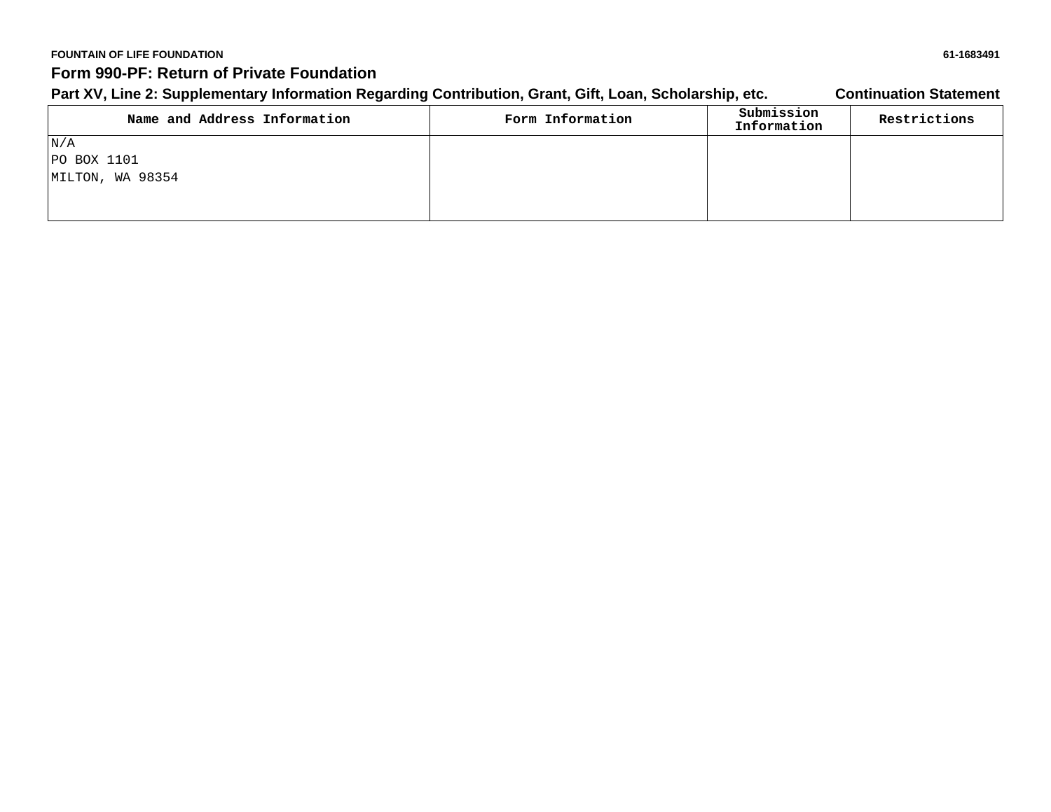### **FOUNTAIN OF LIFE FOUNDATION 61-1683491 Form 990-PF: Return of Private Foundation**

## Part XV, Line 2: Supplementary Information Regarding Contribution, Grant, Gift, Loan, Scholarship, etc. **Continuation Statement**

| Name and Address Information | Form Information | Submission<br>Information | Restrictions |
|------------------------------|------------------|---------------------------|--------------|
| N/A                          |                  |                           |              |
| $ PO$ BOX 1101               |                  |                           |              |
| MILTON, WA 98354             |                  |                           |              |
|                              |                  |                           |              |
|                              |                  |                           |              |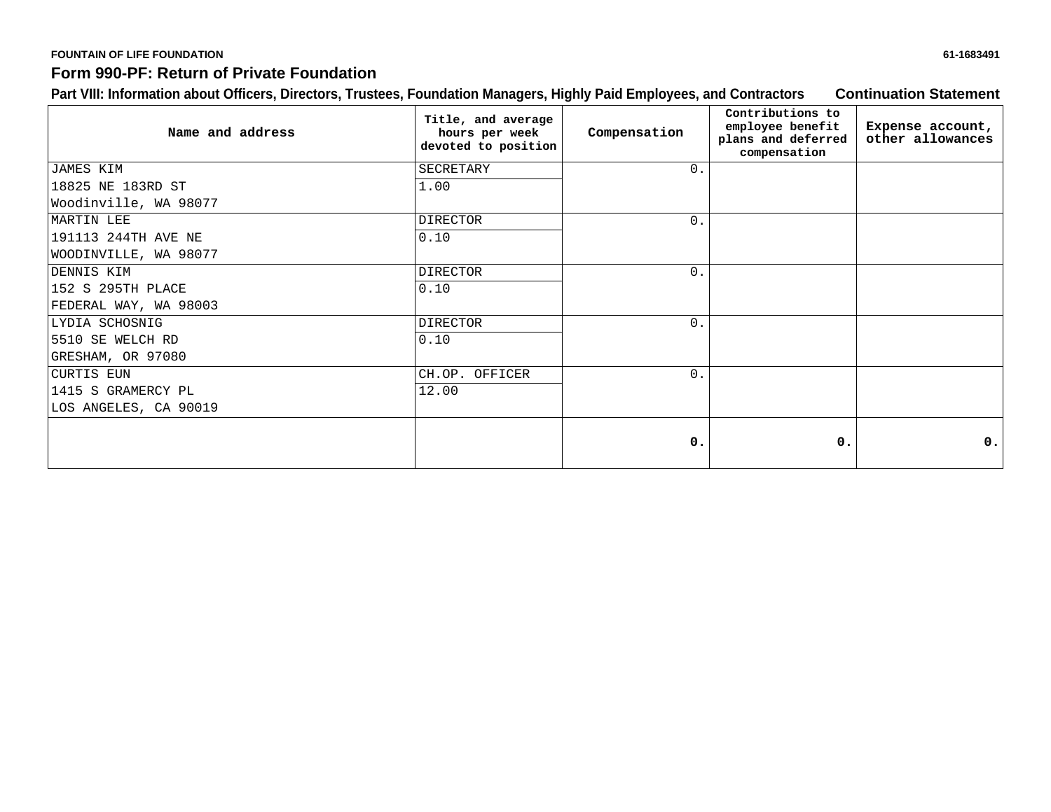# **FOUNTAIN OF LIFE FOUNDATION 61-1683491**

## **Form 990-PF: Return of Private Foundation**

## **Part VIII: Information about Officers, Directors, Trustees, Foundation Managers, Highly Paid Employees, and Contractors Continuation Statement**

| Name and address      | Title, and average<br>hours per week<br>devoted to position | Compensation     | Contributions to<br>employee benefit<br>plans and deferred<br>compensation | Expense account,<br>other allowances |
|-----------------------|-------------------------------------------------------------|------------------|----------------------------------------------------------------------------|--------------------------------------|
| JAMES KIM             | SECRETARY                                                   | $\overline{0}$ . |                                                                            |                                      |
| 18825 NE 183RD ST     | 1.00                                                        |                  |                                                                            |                                      |
| Woodinville, WA 98077 |                                                             |                  |                                                                            |                                      |
| MARTIN LEE            | <b>DIRECTOR</b>                                             | $\Omega$ .       |                                                                            |                                      |
| 191113 244TH AVE NE   | 0.10                                                        |                  |                                                                            |                                      |
| WOODINVILLE, WA 98077 |                                                             |                  |                                                                            |                                      |
| DENNIS KIM            | <b>DIRECTOR</b>                                             | $\overline{0}$ . |                                                                            |                                      |
| 152 S 295TH PLACE     | 0.10                                                        |                  |                                                                            |                                      |
| FEDERAL WAY, WA 98003 |                                                             |                  |                                                                            |                                      |
| LYDIA SCHOSNIG        | <b>DIRECTOR</b>                                             | $\Omega$ .       |                                                                            |                                      |
| 5510 SE WELCH RD      | 0.10                                                        |                  |                                                                            |                                      |
| GRESHAM, OR 97080     |                                                             |                  |                                                                            |                                      |
| CURTIS EUN            | CH.OP. OFFICER                                              | $\Omega$ .       |                                                                            |                                      |
| 1415 S GRAMERCY PL    | 12.00                                                       |                  |                                                                            |                                      |
| LOS ANGELES, CA 90019 |                                                             |                  |                                                                            |                                      |
|                       |                                                             | $\mathbf{0}$ .   | 0.                                                                         | 0.1                                  |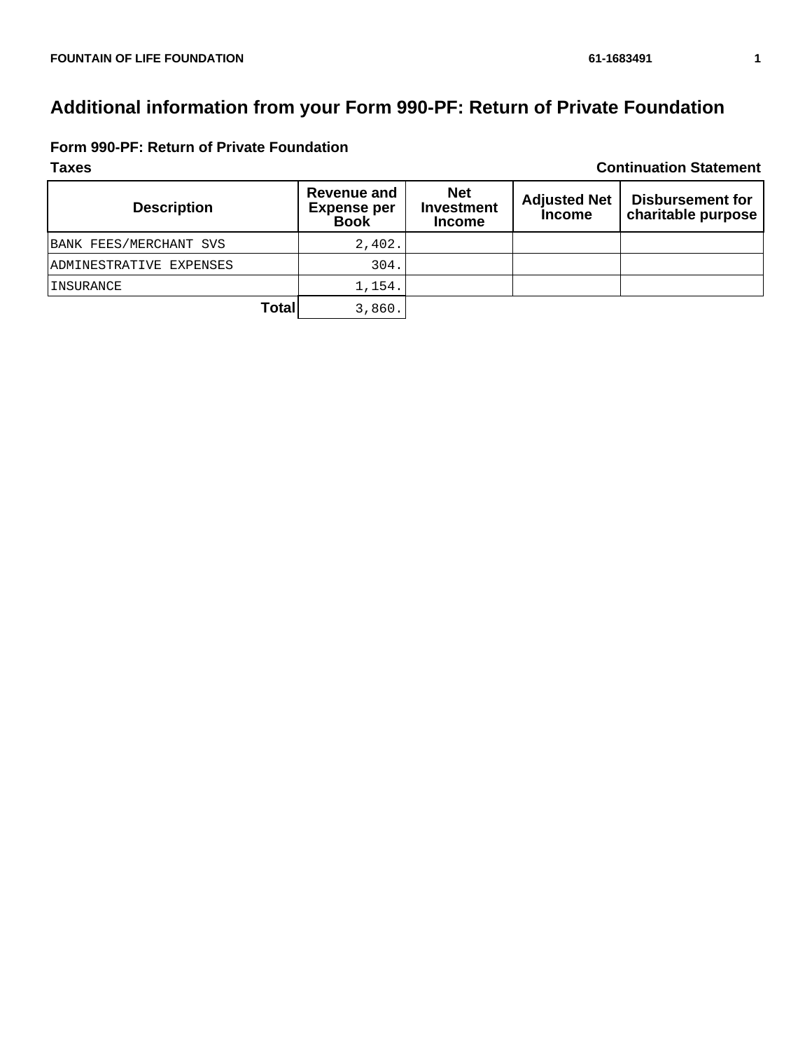# **Additional information from your Form 990-PF: Return of Private Foundation**

|  |  |  |  |  | Form 990-PF: Return of Private Foundation |
|--|--|--|--|--|-------------------------------------------|
|--|--|--|--|--|-------------------------------------------|

**Taxes Continuation Statement**

| <b>Description</b>      | <b>Revenue and</b><br><b>Expense per</b><br><b>Book</b> | <b>Net</b><br>Investment<br><b>Income</b> | <b>Adjusted Net</b><br><b>Income</b> | <b>Disbursement for</b><br>charitable purpose |
|-------------------------|---------------------------------------------------------|-------------------------------------------|--------------------------------------|-----------------------------------------------|
| BANK FEES/MERCHANT SVS  | 2,402.                                                  |                                           |                                      |                                               |
| ADMINESTRATIVE EXPENSES | 304.                                                    |                                           |                                      |                                               |
| <b>INSURANCE</b>        | 1,154.                                                  |                                           |                                      |                                               |
| <b>Total</b>            | 3,860.                                                  |                                           |                                      |                                               |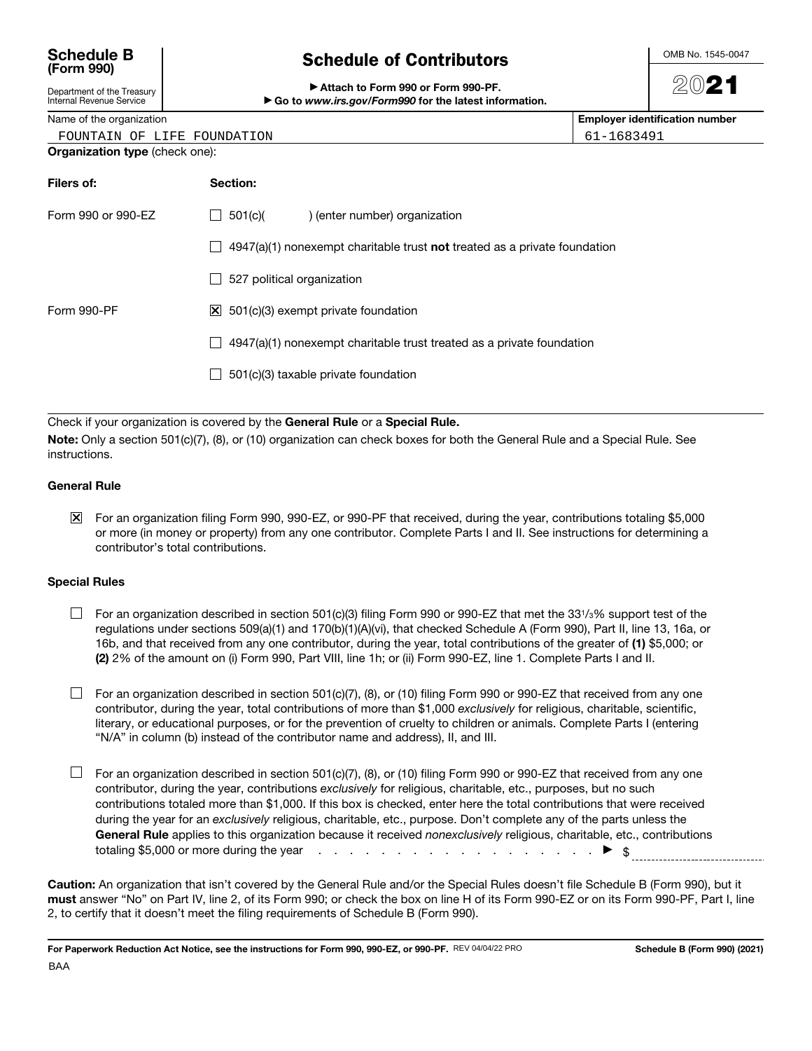### **Schedule B (Form 990)**

|  | <b>Schedule of Contributors</b> |  |
|--|---------------------------------|--|
|  |                                 |  |

OMB No. 1545-0047

### Attach to Form 990 or Form 990-PF. ▶ Go to *www.irs.gov/Form990* for the latest information.

20**21**

61-1683491

Department of the Treasury Internal Revenue Service Name of the organization **Employer identification number**

|  | FOUNTAIN OF LIFE FOUNDATION |
|--|-----------------------------|

**Organization type** (check one):

| Filers of:         | Section:                                                                    |
|--------------------|-----------------------------------------------------------------------------|
| Form 990 or 990-EZ | 501(c)<br>) (enter number) organization                                     |
|                    | $4947(a)(1)$ nonexempt charitable trust not treated as a private foundation |
|                    | 527 political organization                                                  |
| Form 990-PF        | $\vert \mathbf{X} \vert$ 501(c)(3) exempt private foundation                |
|                    | 4947(a)(1) nonexempt charitable trust treated as a private foundation       |
|                    | 501(c)(3) taxable private foundation                                        |
|                    |                                                                             |

Check if your organization is covered by the **General Rule** or a **Special Rule.**

**Note:** Only a section 501(c)(7), (8), or (10) organization can check boxes for both the General Rule and a Special Rule. See instructions.

### **General Rule**

For an organization filing Form 990, 990-EZ, or 990-PF that received, during the year, contributions totaling \$5,000 or more (in money or property) from any one contributor. Complete Parts I and II. See instructions for determining a contributor's total contributions.

### **Special Rules**

- $\Box$  For an organization described in section 501(c)(3) filing Form 990 or 990-EZ that met the 331/3% support test of the regulations under sections 509(a)(1) and 170(b)(1)(A)(vi), that checked Schedule A (Form 990), Part II, line 13, 16a, or 16b, and that received from any one contributor, during the year, total contributions of the greater of **(1)** \$5,000; or **(2)** 2% of the amount on (i) Form 990, Part VIII, line 1h; or (ii) Form 990-EZ, line 1. Complete Parts I and II.
- $\Box$  For an organization described in section 501(c)(7), (8), or (10) filing Form 990 or 990-EZ that received from any one contributor, during the year, total contributions of more than \$1,000 exclusively for religious, charitable, scientific, literary, or educational purposes, or for the prevention of cruelty to children or animals. Complete Parts I (entering "N/A" in column (b) instead of the contributor name and address), II, and III.
- $\Box$  For an organization described in section 501(c)(7), (8), or (10) filing Form 990 or 990-EZ that received from any one contributor, during the year, contributions exclusively for religious, charitable, etc., purposes, but no such contributions totaled more than \$1,000. If this box is checked, enter here the total contributions that were received during the year for an exclusively religious, charitable, etc., purpose. Don't complete any of the parts unless the General Rule applies to this organization because it received nonexclusively religious, charitable, etc., contributions totaling \$5,000 or more during the year  $\cdots$  . . . . . . . . . . . . . . . . .  $\blacktriangleright \$

**Caution:** An organization that isn't covered by the General Rule and/or the Special Rules doesn't file Schedule B (Form 990), but it **must** answer "No" on Part IV, line 2, of its Form 990; or check the box on line H of its Form 990-EZ or on its Form 990-PF, Part I, line 2, to certify that it doesn't meet the filing requirements of Schedule B (Form 990).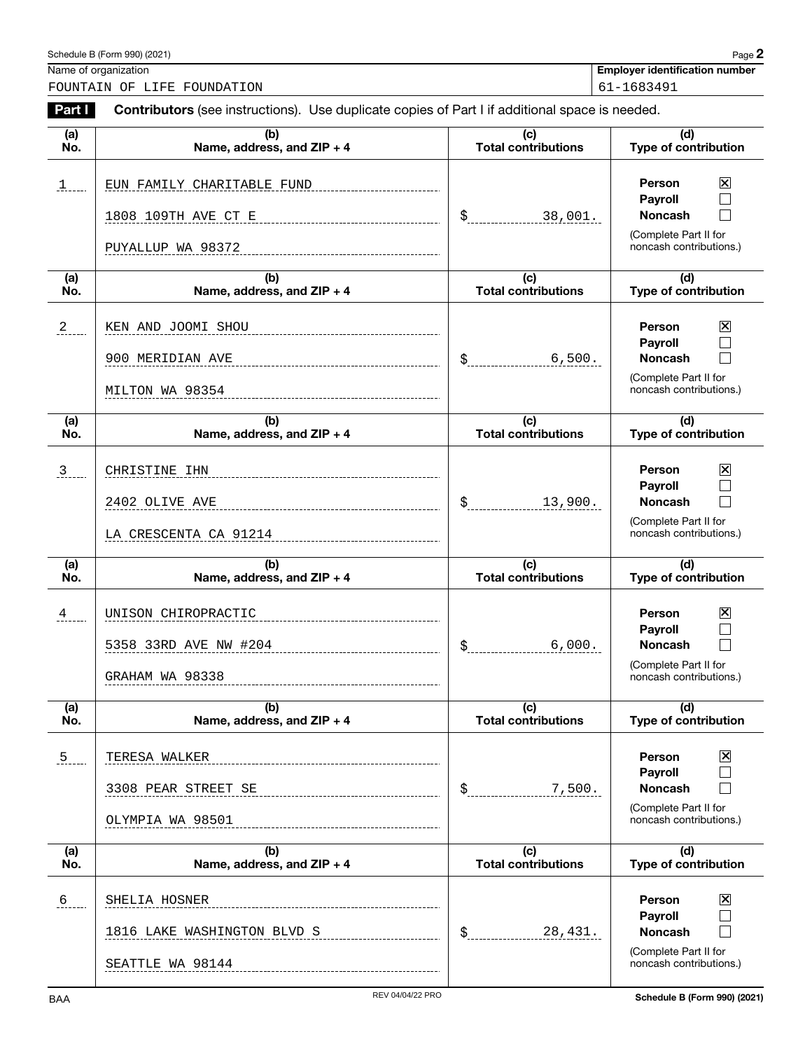| Schedule B (Form 990) (2021)<br>the contract of the contract of the contract of the contract of the contract of the contract of the contract of | $P$ age $\lambda$ |
|-------------------------------------------------------------------------------------------------------------------------------------------------|-------------------|
|-------------------------------------------------------------------------------------------------------------------------------------------------|-------------------|

Name of organization **Employer identification number**

FOUNTAIN OF LIFE FOUNDATION 61-1683491

**Part I Contributors** (see instructions). Use duplicate copies of Part I if additional space is needed.

| (a)<br>No.    | (b)<br>Name, address, and ZIP + 4               | (c)<br><b>Total contributions</b>              | (d)<br><b>Type of contribution</b>                                           |
|---------------|-------------------------------------------------|------------------------------------------------|------------------------------------------------------------------------------|
| <u>1</u>      | EUN FAMILY CHARITABLE FUND                      |                                                | $\boxtimes$<br>Person<br>Payroll                                             |
|               | 1808 109TH AVE CT E                             | \$<br>38,001.                                  | Noncash                                                                      |
|               | PUYALLUP WA 98372                               |                                                | (Complete Part II for<br>noncash contributions.)                             |
| (a)<br>No.    | (b)<br>Name, address, and ZIP + 4               | (c)<br><b>Total contributions</b>              | (d)<br>Type of contribution                                                  |
| $^{2}$        | KEN AND JOOMI SHOU                              |                                                | $\boxtimes$<br>Person<br><b>Payroll</b>                                      |
|               | 900 MERIDIAN AVE                                | \$<br>6,500.                                   | Noncash                                                                      |
|               | MILTON WA 98354                                 |                                                | (Complete Part II for<br>noncash contributions.)                             |
| (a)<br>No.    | (b)<br>Name, address, and ZIP + 4               | (c)<br><b>Total contributions</b>              | (d)<br>Type of contribution                                                  |
| $\frac{3}{2}$ | CHRISTINE IHN                                   |                                                | $\mathbf{\overline{X}}$<br>Person<br><b>Payroll</b>                          |
|               | 2402 OLIVE AVE                                  | \$<br>13,900.                                  | <b>Noncash</b>                                                               |
|               | LA CRESCENTA CA 91214                           |                                                | (Complete Part II for<br>noncash contributions.)                             |
| (a)<br>No.    | (b)<br>Name, address, and ZIP + 4               | (c)<br><b>Total contributions</b>              | (d)<br>Type of contribution                                                  |
|               |                                                 |                                                |                                                                              |
| 4             | UNISON CHIROPRACTIC                             |                                                | $\boxtimes$<br>Person                                                        |
|               | 5358 33RD AVE NW #204                           | 6,000.<br>\$                                   | <b>Payroll</b><br>Noncash                                                    |
|               | GRAHAM WA 98338                                 |                                                | (Complete Part II for<br>noncash contributions.)                             |
| (a)<br>No.    | (b)<br>Name, address, and ZIP + 4               | $\overline{(c)}$<br><b>Total contributions</b> | (d)<br><b>Type of contribution</b>                                           |
| $\frac{5}{2}$ | TERESA WALKER                                   |                                                | 区<br>Person                                                                  |
|               | 3308 PEAR STREET SE                             | \$<br>7,500.                                   | $\Box$<br>Payroll<br>$\Box$<br><b>Noncash</b>                                |
|               | OLYMPIA WA 98501                                |                                                | (Complete Part II for<br>noncash contributions.)                             |
| (a)<br>No.    | (b)<br>Name, address, and ZIP + 4               | (c)<br><b>Total contributions</b>              | (d)<br>Type of contribution                                                  |
|               | SHELIA HOSNER                                   |                                                | Person                                                                       |
| $6 -$         |                                                 |                                                | 区<br>$\Box$<br><b>Payroll</b>                                                |
|               | 1816 LAKE WASHINGTON BLVD S<br>SEATTLE WA 98144 | \$<br>28,431.                                  | $\Box$<br><b>Noncash</b><br>(Complete Part II for<br>noncash contributions.) |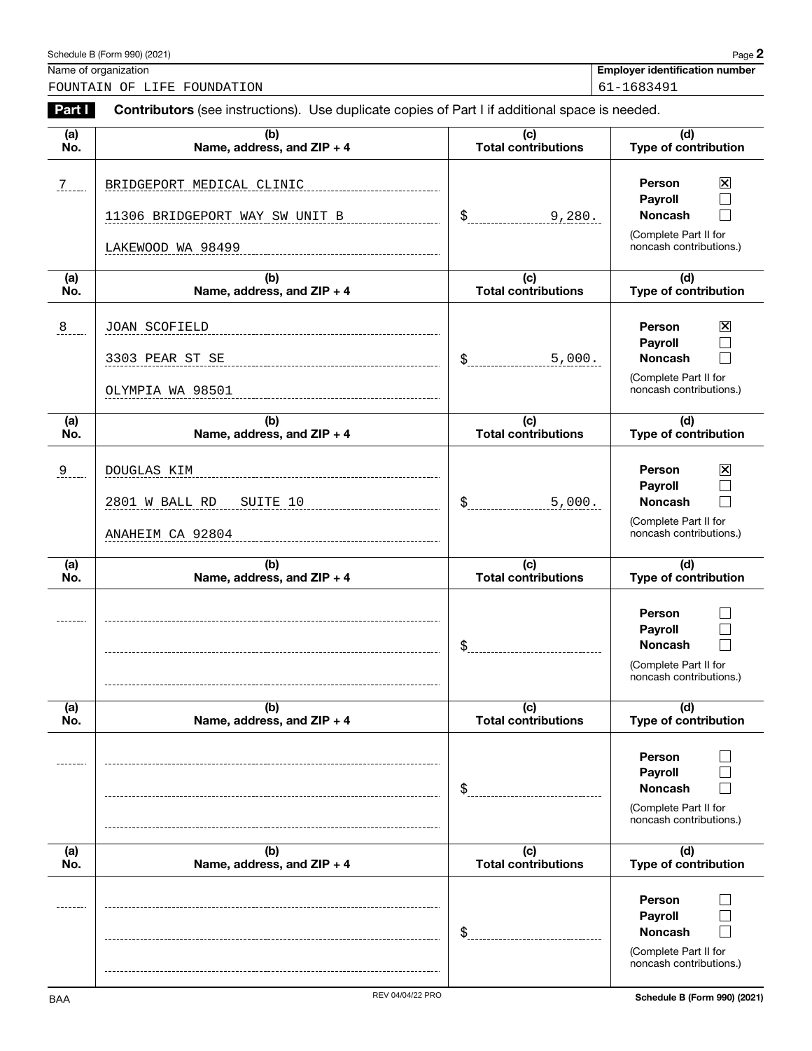| Schedule B (Form 990) (2021) | $P$ age $\mathbb{Z}$ |
|------------------------------|----------------------|
|------------------------------|----------------------|

Name of organization **Employer identification number**

FOUNTAIN OF LIFE FOUNDATION 61-1683491

| Part I     | <b>Contributors</b> (see instructions). Use duplicate copies of Part I if additional space is needed. |                                   |                                                                                                              |  |
|------------|-------------------------------------------------------------------------------------------------------|-----------------------------------|--------------------------------------------------------------------------------------------------------------|--|
| (a)<br>No. | (b)<br>Name, address, and ZIP + 4                                                                     | (c)<br><b>Total contributions</b> | (d)<br>Type of contribution                                                                                  |  |
| $7 - 7$    | BRIDGEPORT MEDICAL CLINIC<br>11306 BRIDGEPORT WAY SW UNIT B<br>LAKEWOOD WA 98499                      | \$<br>9,280.                      | $\mathbf{\Sigma}$<br>Person<br>Payroll<br><b>Noncash</b><br>(Complete Part II for<br>noncash contributions.) |  |
| (a)<br>No. | (b)<br>Name, address, and ZIP + 4                                                                     | (c)<br><b>Total contributions</b> | (d)<br>Type of contribution                                                                                  |  |
| 8          | JOAN SCOFIELD<br>3303 PEAR ST SE<br>OLYMPIA WA 98501                                                  | \$<br>5,000.                      | 区<br><b>Person</b><br>Payroll<br><b>Noncash</b><br>(Complete Part II for<br>noncash contributions.)          |  |
| (a)<br>No. | (b)<br>Name, address, and ZIP + 4                                                                     | (c)<br><b>Total contributions</b> | (d)<br>Type of contribution                                                                                  |  |
| $^{9}$     | DOUGLAS KIM<br>2801 W BALL RD<br>SUITE 10<br>ANAHEIM CA 92804                                         | \$<br>5,000.                      | $\boxtimes$<br>Person<br>Payroll<br><b>Noncash</b><br>(Complete Part II for<br>noncash contributions.)       |  |
| (a)<br>No. | (b)<br>Name, address, and ZIP + 4                                                                     | (c)<br><b>Total contributions</b> | (d)<br>Type of contribution                                                                                  |  |
|            |                                                                                                       | \$                                | <b>Person</b><br>Payroll<br><b>Noncash</b><br>(Complete Part II for<br>noncash contributions.)               |  |
| (a)<br>No. | (b)<br>Name, address, and ZIP + 4                                                                     | (c)<br><b>Total contributions</b> | (d)<br><b>Type of contribution</b>                                                                           |  |
|            |                                                                                                       | \$                                | <b>Person</b><br>Payroll<br><b>Noncash</b><br>(Complete Part II for<br>noncash contributions.)               |  |
| (a)<br>No. | (b)<br>Name, address, and ZIP + 4                                                                     | (c)<br><b>Total contributions</b> | (d)<br><b>Type of contribution</b>                                                                           |  |
|            |                                                                                                       | \$                                | <b>Person</b><br>Payroll<br><b>Noncash</b><br>(Complete Part II for<br>noncash contributions.)               |  |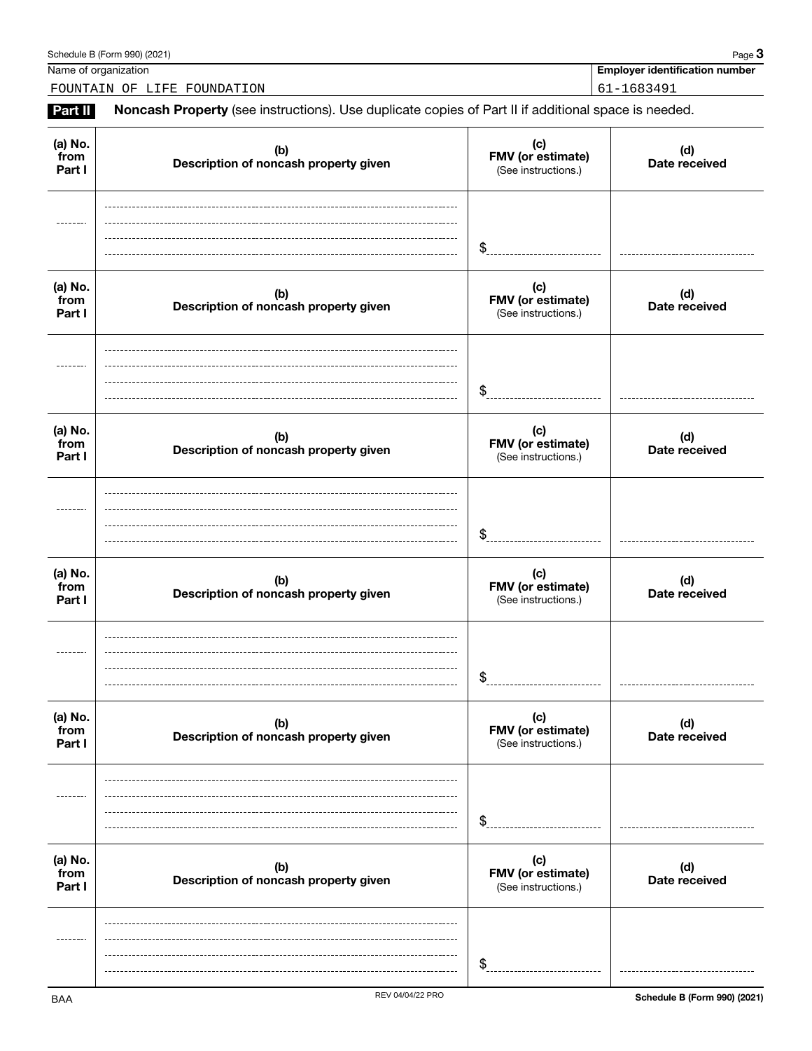### Schedule B (Form 990) (2021) Page 3

Name of organization **Employer identification number**

FOUNTAIN OF LIFE FOUNDATION 61-1683491

**Part II** Noncash Property (see instructions). Use duplicate copies of Part II if additional space is needed.

| (a) No.<br>from<br>Part I | (b)<br>Description of noncash property given | (c)<br>FMV (or estimate)<br>(See instructions.) | (d)<br>Date received |
|---------------------------|----------------------------------------------|-------------------------------------------------|----------------------|
|                           |                                              | \$                                              |                      |
| (a) No.<br>from<br>Part I | (b)<br>Description of noncash property given | (c)<br>FMV (or estimate)<br>(See instructions.) | (d)<br>Date received |
|                           |                                              | \$                                              |                      |
| (a) No.<br>from<br>Part I | (b)<br>Description of noncash property given | (c)<br>FMV (or estimate)<br>(See instructions.) | (d)<br>Date received |
|                           |                                              | \$                                              |                      |
| (a) No.<br>from<br>Part I | (b)<br>Description of noncash property given | (c)<br>FMV (or estimate)<br>(See instructions.) | (d)<br>Date received |
|                           |                                              | \$                                              |                      |
| (a) No.<br>from<br>Part I | (b)<br>Description of noncash property given | (c)<br>FMV (or estimate)<br>(See instructions.) | (d)<br>Date received |
| -------                   |                                              | \$                                              |                      |
| (a) No.<br>from<br>Part I | (b)<br>Description of noncash property given | (c)<br>FMV (or estimate)<br>(See instructions.) | (d)<br>Date received |
|                           |                                              | \$                                              |                      |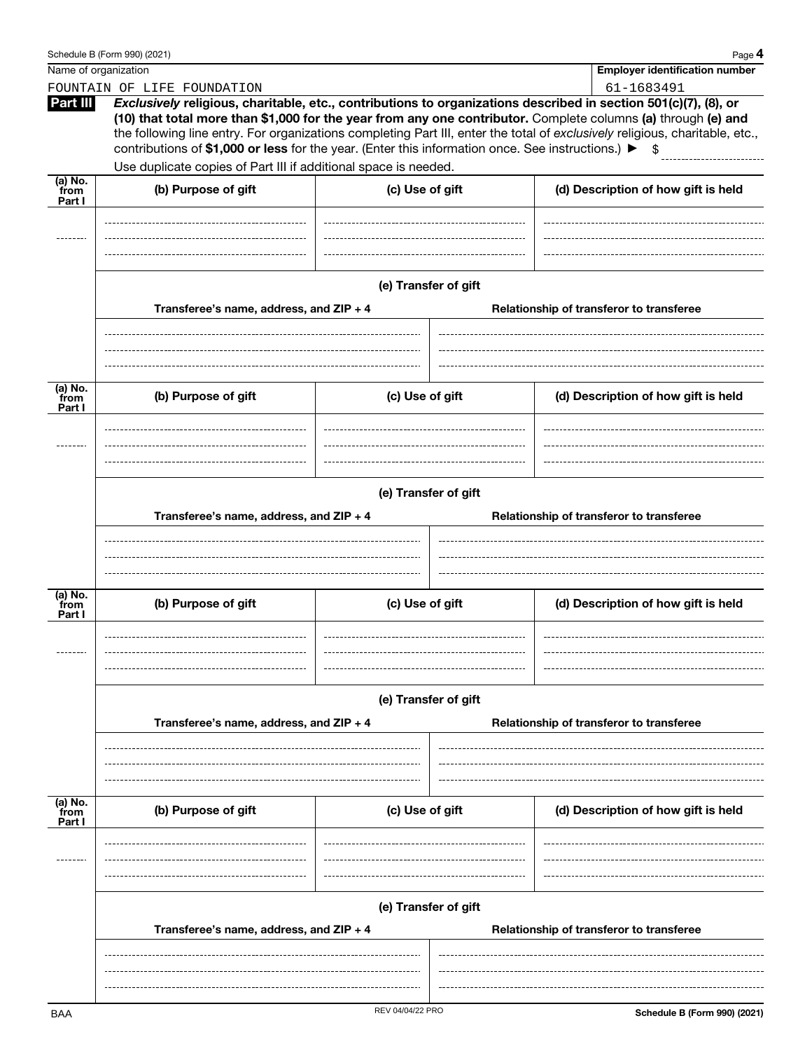|                             | Schedule B (Form 990) (2021)                                                                                |                                                                                     |                                          | Page 4                                                                                                                                                                                                                                                                                                                                                           |  |
|-----------------------------|-------------------------------------------------------------------------------------------------------------|-------------------------------------------------------------------------------------|------------------------------------------|------------------------------------------------------------------------------------------------------------------------------------------------------------------------------------------------------------------------------------------------------------------------------------------------------------------------------------------------------------------|--|
| Name of organization        |                                                                                                             |                                                                                     |                                          | <b>Employer identification number</b>                                                                                                                                                                                                                                                                                                                            |  |
|                             | FOUNTAIN OF LIFE FOUNDATION                                                                                 |                                                                                     |                                          | 61-1683491                                                                                                                                                                                                                                                                                                                                                       |  |
| Part III                    | contributions of \$1,000 or less for the year. (Enter this information once. See instructions.) ▶           |                                                                                     |                                          | Exclusively religious, charitable, etc., contributions to organizations described in section 501(c)(7), (8), or<br>(10) that total more than \$1,000 for the year from any one contributor. Complete columns (a) through (e) and<br>the following line entry. For organizations completing Part III, enter the total of exclusively religious, charitable, etc., |  |
|                             | Use duplicate copies of Part III if additional space is needed.                                             |                                                                                     |                                          |                                                                                                                                                                                                                                                                                                                                                                  |  |
| $(a)$ No.<br>from<br>Part I | (b) Purpose of gift                                                                                         | (c) Use of gift                                                                     |                                          | (d) Description of how gift is held                                                                                                                                                                                                                                                                                                                              |  |
|                             | (e) Transfer of gift<br>Transferee's name, address, and ZIP + 4                                             |                                                                                     | Relationship of transferor to transferee |                                                                                                                                                                                                                                                                                                                                                                  |  |
| (a) No.                     |                                                                                                             |                                                                                     |                                          |                                                                                                                                                                                                                                                                                                                                                                  |  |
| from<br>Part I              | (b) Purpose of gift                                                                                         | (c) Use of gift                                                                     |                                          | (d) Description of how gift is held                                                                                                                                                                                                                                                                                                                              |  |
|                             | (e) Transfer of gift<br>Transferee's name, address, and ZIP + 4<br>Relationship of transferor to transferee |                                                                                     |                                          |                                                                                                                                                                                                                                                                                                                                                                  |  |
|                             |                                                                                                             |                                                                                     |                                          |                                                                                                                                                                                                                                                                                                                                                                  |  |
| (a) No.<br>from<br>Part I   | (b) Purpose of gift                                                                                         | (c) Use of gift                                                                     |                                          | (d) Description of how gift is held                                                                                                                                                                                                                                                                                                                              |  |
|                             |                                                                                                             |                                                                                     |                                          |                                                                                                                                                                                                                                                                                                                                                                  |  |
|                             | (e) Transfer of gift                                                                                        |                                                                                     |                                          |                                                                                                                                                                                                                                                                                                                                                                  |  |
|                             | Transferee's name, address, and ZIP + 4                                                                     |                                                                                     |                                          | Relationship of transferor to transferee                                                                                                                                                                                                                                                                                                                         |  |
|                             |                                                                                                             |                                                                                     |                                          |                                                                                                                                                                                                                                                                                                                                                                  |  |
| (a) No.<br>from<br>Part I   | (b) Purpose of gift                                                                                         | (c) Use of gift                                                                     |                                          | (d) Description of how gift is held                                                                                                                                                                                                                                                                                                                              |  |
|                             |                                                                                                             |                                                                                     |                                          |                                                                                                                                                                                                                                                                                                                                                                  |  |
|                             | (e) Transfer of gift                                                                                        |                                                                                     |                                          |                                                                                                                                                                                                                                                                                                                                                                  |  |
|                             |                                                                                                             | Transferee's name, address, and ZIP + 4<br>Relationship of transferor to transferee |                                          |                                                                                                                                                                                                                                                                                                                                                                  |  |
|                             |                                                                                                             |                                                                                     |                                          |                                                                                                                                                                                                                                                                                                                                                                  |  |
|                             |                                                                                                             |                                                                                     |                                          |                                                                                                                                                                                                                                                                                                                                                                  |  |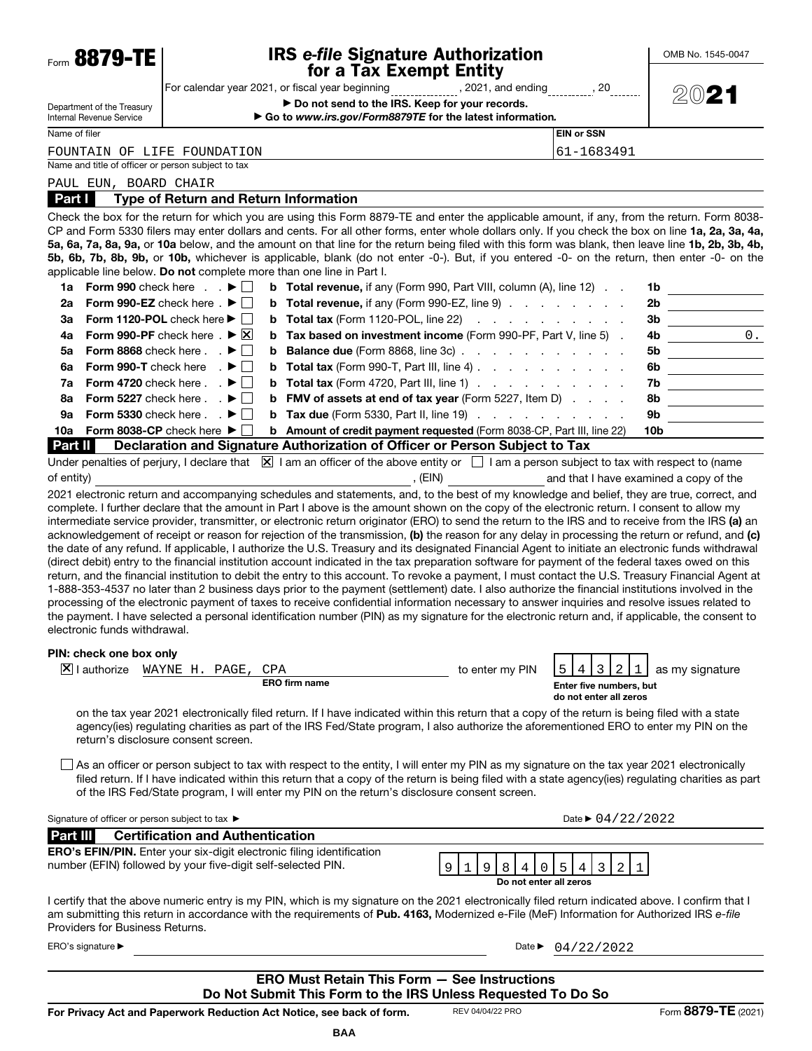| Form 8879-TE                                                 | <b>IRS e-file Signature Authorization</b>                                                                                                                                                                                                                                                                                                                                                                                                                                                                                                                                                                                                                                                                                                                                                                                                                                                                                                                                                                                                                                                                                                                                                                                        |                                  | OMB No. 1545-0047                                                                                                    |  |
|--------------------------------------------------------------|----------------------------------------------------------------------------------------------------------------------------------------------------------------------------------------------------------------------------------------------------------------------------------------------------------------------------------------------------------------------------------------------------------------------------------------------------------------------------------------------------------------------------------------------------------------------------------------------------------------------------------------------------------------------------------------------------------------------------------------------------------------------------------------------------------------------------------------------------------------------------------------------------------------------------------------------------------------------------------------------------------------------------------------------------------------------------------------------------------------------------------------------------------------------------------------------------------------------------------|----------------------------------|----------------------------------------------------------------------------------------------------------------------|--|
|                                                              | for a Tax Exempt Entity                                                                                                                                                                                                                                                                                                                                                                                                                                                                                                                                                                                                                                                                                                                                                                                                                                                                                                                                                                                                                                                                                                                                                                                                          |                                  |                                                                                                                      |  |
| Department of the Treasury                                   | For calendar year 2021, or fiscal year beginning ______________, 2021, and ending _________, 20<br>Do not send to the IRS. Keep for your records.                                                                                                                                                                                                                                                                                                                                                                                                                                                                                                                                                                                                                                                                                                                                                                                                                                                                                                                                                                                                                                                                                |                                  | 2021                                                                                                                 |  |
| Internal Revenue Service                                     | Go to www.irs.gov/Form8879TE for the latest information.                                                                                                                                                                                                                                                                                                                                                                                                                                                                                                                                                                                                                                                                                                                                                                                                                                                                                                                                                                                                                                                                                                                                                                         |                                  |                                                                                                                      |  |
| Name of filer                                                |                                                                                                                                                                                                                                                                                                                                                                                                                                                                                                                                                                                                                                                                                                                                                                                                                                                                                                                                                                                                                                                                                                                                                                                                                                  | <b>EIN or SSN</b>                |                                                                                                                      |  |
| FOUNTAIN OF LIFE FOUNDATION                                  |                                                                                                                                                                                                                                                                                                                                                                                                                                                                                                                                                                                                                                                                                                                                                                                                                                                                                                                                                                                                                                                                                                                                                                                                                                  | 61-1683491                       |                                                                                                                      |  |
| Name and title of officer or person subject to tax           |                                                                                                                                                                                                                                                                                                                                                                                                                                                                                                                                                                                                                                                                                                                                                                                                                                                                                                                                                                                                                                                                                                                                                                                                                                  |                                  |                                                                                                                      |  |
| PAUL EUN, BOARD CHAIR                                        |                                                                                                                                                                                                                                                                                                                                                                                                                                                                                                                                                                                                                                                                                                                                                                                                                                                                                                                                                                                                                                                                                                                                                                                                                                  |                                  |                                                                                                                      |  |
| Part I                                                       | <b>Type of Return and Return Information</b>                                                                                                                                                                                                                                                                                                                                                                                                                                                                                                                                                                                                                                                                                                                                                                                                                                                                                                                                                                                                                                                                                                                                                                                     |                                  |                                                                                                                      |  |
|                                                              | Check the box for the return for which you are using this Form 8879-TE and enter the applicable amount, if any, from the return. Form 8038-<br>CP and Form 5330 filers may enter dollars and cents. For all other forms, enter whole dollars only. If you check the box on line 1a, 2a, 3a, 4a,<br>5a, 6a, 7a, 8a, 9a, or 10a below, and the amount on that line for the return being filed with this form was blank, then leave line 1b, 2b, 3b, 4b,<br>5b, 6b, 7b, 8b, 9b, or 10b, whichever is applicable, blank (do not enter -0-). But, if you entered -0- on the return, then enter -0- on the<br>applicable line below. Do not complete more than one line in Part I.                                                                                                                                                                                                                                                                                                                                                                                                                                                                                                                                                     |                                  |                                                                                                                      |  |
| 1a Form 990 check here $\ldots$ $\blacktriangleright$ $\Box$ | <b>b</b> Total revenue, if any (Form 990, Part VIII, column $(A)$ , line 12) $\ldots$                                                                                                                                                                                                                                                                                                                                                                                                                                                                                                                                                                                                                                                                                                                                                                                                                                                                                                                                                                                                                                                                                                                                            |                                  | 1b                                                                                                                   |  |
| 2a                                                           | Form 990-EZ check here $. \blacktriangleright \Box$<br><b>b</b> Total revenue, if any (Form 990-EZ, line 9) $\ldots$ $\ldots$ $\ldots$                                                                                                                                                                                                                                                                                                                                                                                                                                                                                                                                                                                                                                                                                                                                                                                                                                                                                                                                                                                                                                                                                           |                                  | 2b                                                                                                                   |  |
| За                                                           | <b>b</b> Total tax (Form 1120-POL, line 22) $\ldots$ $\ldots$ $\ldots$ $\ldots$<br>Form 1120-POL check here $\blacktriangleright$                                                                                                                                                                                                                                                                                                                                                                                                                                                                                                                                                                                                                                                                                                                                                                                                                                                                                                                                                                                                                                                                                                | 3b                               |                                                                                                                      |  |
| 4a                                                           | Form 990-PF check here $\mathbb{R}$ $\blacktriangleright$ $\mathbb{X}$<br>Tax based on investment income (Form 990-PF, Part V, line 5).<br>b                                                                                                                                                                                                                                                                                                                                                                                                                                                                                                                                                                                                                                                                                                                                                                                                                                                                                                                                                                                                                                                                                     | 4b                               | $\overline{\phantom{a}}$ 0.                                                                                          |  |
| 5a                                                           | Form 8868 check here $\blacksquare$ .<br><b>Balance due</b> (Form 8868, line 3c)<br>b                                                                                                                                                                                                                                                                                                                                                                                                                                                                                                                                                                                                                                                                                                                                                                                                                                                                                                                                                                                                                                                                                                                                            | 5b                               | <u> 1990 - Johann Barbara, martxa</u>                                                                                |  |
| 6a                                                           | Form 990-T check here $\blacksquare$<br><b>Total tax</b> (Form 990-T, Part III, line 4) $\ldots$ $\ldots$ $\ldots$ $\ldots$<br>b                                                                                                                                                                                                                                                                                                                                                                                                                                                                                                                                                                                                                                                                                                                                                                                                                                                                                                                                                                                                                                                                                                 | 6b                               |                                                                                                                      |  |
| 7a                                                           | Form 4720 check here $\ldots$ $\blacktriangleright$ $\Box$<br><b>b</b> Total tax (Form 4720, Part III, line 1) $\ldots$ $\ldots$ $\ldots$ $\ldots$                                                                                                                                                                                                                                                                                                                                                                                                                                                                                                                                                                                                                                                                                                                                                                                                                                                                                                                                                                                                                                                                               | 7b                               |                                                                                                                      |  |
| 8a                                                           | Form 5227 check here $\ldots$ $\blacktriangleright$ $\Box$<br><b>FMV of assets at end of tax year</b> (Form 5227, Item D)<br>b                                                                                                                                                                                                                                                                                                                                                                                                                                                                                                                                                                                                                                                                                                                                                                                                                                                                                                                                                                                                                                                                                                   | 8b                               | <u> 1999 - Johann Barbara, politik eta politik eta politik eta politik eta politik eta politik eta politik eta p</u> |  |
| 9а                                                           | Form 5330 check here $\ldots$ $\blacktriangleright$ $\Box$<br><b>b</b> Tax due (Form 5330, Part II, line 19) $\ldots$ $\ldots$ $\ldots$ $\ldots$                                                                                                                                                                                                                                                                                                                                                                                                                                                                                                                                                                                                                                                                                                                                                                                                                                                                                                                                                                                                                                                                                 | 9b                               |                                                                                                                      |  |
| 10a                                                          | Form 8038-CP check here $\blacktriangleright \Box$<br><b>b</b> Amount of credit payment requested (Form 8038-CP, Part III, line 22)                                                                                                                                                                                                                                                                                                                                                                                                                                                                                                                                                                                                                                                                                                                                                                                                                                                                                                                                                                                                                                                                                              | 10b                              |                                                                                                                      |  |
| <b>Part II</b>                                               | Declaration and Signature Authorization of Officer or Person Subject to Tax                                                                                                                                                                                                                                                                                                                                                                                                                                                                                                                                                                                                                                                                                                                                                                                                                                                                                                                                                                                                                                                                                                                                                      |                                  |                                                                                                                      |  |
| electronic funds withdrawal.                                 | intermediate service provider, transmitter, or electronic return originator (ERO) to send the return to the IRS and to receive from the IRS (a) an<br>acknowledgement of receipt or reason for rejection of the transmission, (b) the reason for any delay in processing the return or refund, and (c)<br>the date of any refund. If applicable, I authorize the U.S. Treasury and its designated Financial Agent to initiate an electronic funds withdrawal<br>(direct debit) entry to the financial institution account indicated in the tax preparation software for payment of the federal taxes owed on this<br>return, and the financial institution to debit the entry to this account. To revoke a payment, I must contact the U.S. Treasury Financial Agent at<br>1-888-353-4537 no later than 2 business days prior to the payment (settlement) date. I also authorize the financial institutions involved in the<br>processing of the electronic payment of taxes to receive confidential information necessary to answer inquiries and resolve issues related to<br>the payment. I have selected a personal identification number (PIN) as my signature for the electronic return and, if applicable, the consent to |                                  |                                                                                                                      |  |
| PIN: check one box only                                      |                                                                                                                                                                                                                                                                                                                                                                                                                                                                                                                                                                                                                                                                                                                                                                                                                                                                                                                                                                                                                                                                                                                                                                                                                                  |                                  |                                                                                                                      |  |
| $ \mathsf{X} $ I authorize                                   | to enter my PIN<br>WAYNE H. PAGE,<br>CPA<br><b>ERO firm name</b>                                                                                                                                                                                                                                                                                                                                                                                                                                                                                                                                                                                                                                                                                                                                                                                                                                                                                                                                                                                                                                                                                                                                                                 | Enter five numbers, but          | as my signature                                                                                                      |  |
|                                                              | on the tax year 2021 electronically filed return. If I have indicated within this return that a copy of the return is being filed with a state<br>agency(ies) regulating charities as part of the IRS Fed/State program, I also authorize the aforementioned ERO to enter my PIN on the<br>return's disclosure consent screen.                                                                                                                                                                                                                                                                                                                                                                                                                                                                                                                                                                                                                                                                                                                                                                                                                                                                                                   | do not enter all zeros           |                                                                                                                      |  |
|                                                              | $\Box$ As an officer or person subject to tax with respect to the entity, I will enter my PIN as my signature on the tax year 2021 electronically<br>filed return. If I have indicated within this return that a copy of the return is being filed with a state agency(ies) regulating charities as part<br>of the IRS Fed/State program, I will enter my PIN on the return's disclosure consent screen.                                                                                                                                                                                                                                                                                                                                                                                                                                                                                                                                                                                                                                                                                                                                                                                                                         |                                  |                                                                                                                      |  |
| Signature of officer or person subject to tax ▶              |                                                                                                                                                                                                                                                                                                                                                                                                                                                                                                                                                                                                                                                                                                                                                                                                                                                                                                                                                                                                                                                                                                                                                                                                                                  | Date $\triangleright$ 04/22/2022 |                                                                                                                      |  |
| Part III                                                     | <b>Certification and Authentication</b>                                                                                                                                                                                                                                                                                                                                                                                                                                                                                                                                                                                                                                                                                                                                                                                                                                                                                                                                                                                                                                                                                                                                                                                          |                                  |                                                                                                                      |  |
|                                                              | ERO's EFIN/PIN. Enter your six-digit electronic filing identification<br>number (EFIN) followed by your five-digit self-selected PIN.<br>9<br>9<br>8<br>5<br>1<br>0<br>Do not enter all zeros                                                                                                                                                                                                                                                                                                                                                                                                                                                                                                                                                                                                                                                                                                                                                                                                                                                                                                                                                                                                                                    | 3<br>2<br>ı                      |                                                                                                                      |  |
| Providers for Business Returns.                              | I certify that the above numeric entry is my PIN, which is my signature on the 2021 electronically filed return indicated above. I confirm that I<br>am submitting this return in accordance with the requirements of Pub. 4163, Modernized e-File (MeF) Information for Authorized IRS e-file                                                                                                                                                                                                                                                                                                                                                                                                                                                                                                                                                                                                                                                                                                                                                                                                                                                                                                                                   |                                  |                                                                                                                      |  |

ERO's signature  $\blacktriangleright$ 

Date ▶ 04/22/2022

### **ERO Must Retain This Form — See Instructions Do Not Submit This Form to the IRS Unless Requested To Do So**

**For Privacy Act and Paperwork Reduction Act Notice, see back of form.** REV 04/04/22 PRO<br>Form **8879-TE** (2021)

REV 04/04/22 PRO

|            |       | Under penalties of perjury, I declare that $\boxtimes$ I am an officer of the above entity or $\Box$ I am a person subject to tax with respect to (name |
|------------|-------|---------------------------------------------------------------------------------------------------------------------------------------------------------|
| of entity) | (EIN) | and that I have examined a copy of the                                                                                                                  |

| <b>PIN</b> : check one hox only                                                                                                              |  |
|----------------------------------------------------------------------------------------------------------------------------------------------|--|
| electronic funds withdrawal.                                                                                                                 |  |
| the payment. I have selected a personal identification number (PIN) as my signature for the electronic return and, if applicable, the conse  |  |
| processing of the electronic payment of taxes to receive confidential information necessary to answer inquiries and resolve issues relate    |  |
| 1-888-353-4537 no later than 2 business days prior to the payment (settlement) date. I also authorize the financial institutions involved ir |  |
| return, and the financial institution to debit the entry to this account. To revoke a payment, I must contact the U.S. Treasury Financial Ag |  |
| (direct debit) entry to the financial institution account indicated in the tax preparation software for payment of the federal taxes owed on |  |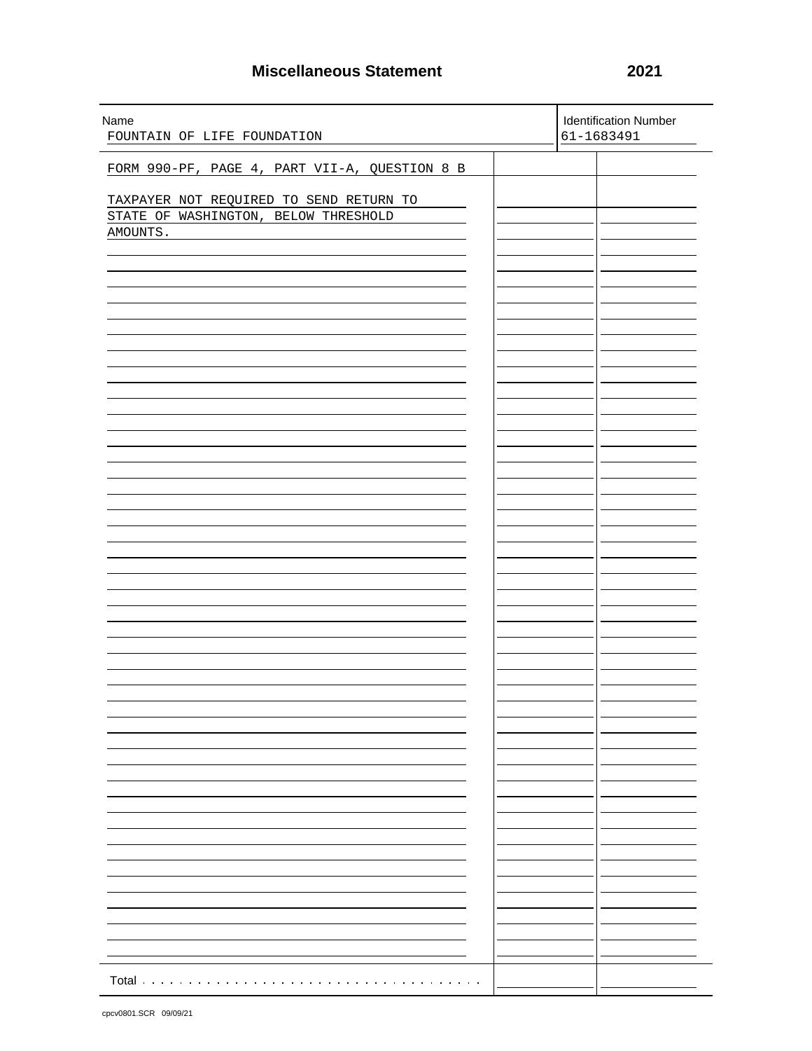## **Miscellaneous Statement 2021**

| Name<br>FOUNTAIN OF LIFE FOUNDATION           | <b>Identification Number</b><br>61-1683491 |
|-----------------------------------------------|--------------------------------------------|
| FORM 990-PF, PAGE 4, PART VII-A, QUESTION 8 B |                                            |
|                                               |                                            |
| TAXPAYER NOT REQUIRED TO SEND RETURN TO       |                                            |
| STATE OF WASHINGTON, BELOW THRESHOLD          |                                            |
| AMOUNTS.                                      |                                            |
|                                               |                                            |
|                                               |                                            |
|                                               |                                            |
|                                               |                                            |
|                                               |                                            |
|                                               |                                            |
|                                               |                                            |
|                                               |                                            |
|                                               |                                            |
|                                               |                                            |
|                                               |                                            |
|                                               |                                            |
|                                               |                                            |
|                                               |                                            |
|                                               |                                            |
|                                               |                                            |
|                                               |                                            |
|                                               |                                            |
|                                               |                                            |
|                                               |                                            |
|                                               |                                            |
|                                               |                                            |
|                                               |                                            |
|                                               |                                            |
|                                               |                                            |
|                                               |                                            |
|                                               |                                            |
|                                               |                                            |
|                                               |                                            |
|                                               |                                            |
|                                               |                                            |
|                                               |                                            |
|                                               |                                            |
|                                               |                                            |
|                                               |                                            |
|                                               |                                            |
|                                               |                                            |
|                                               |                                            |
|                                               |                                            |
|                                               |                                            |
| Total                                         |                                            |
|                                               |                                            |